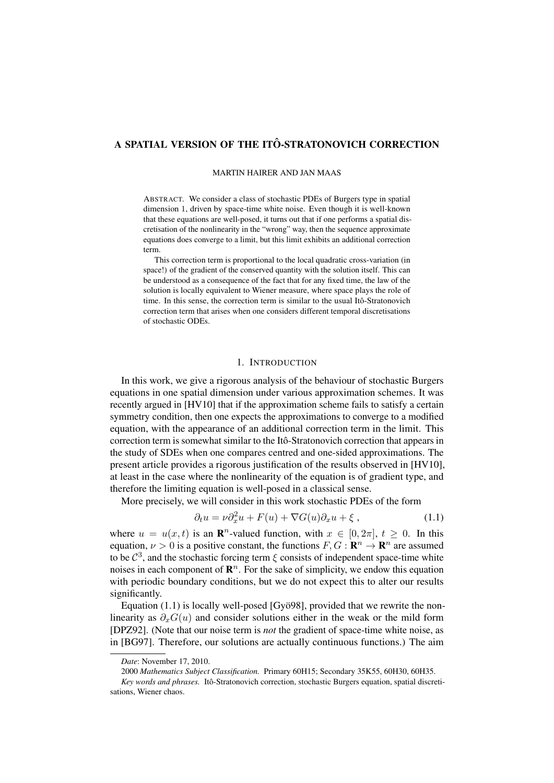# A SPATIAL VERSION OF THE ITO-STRATONOVICH CORRECTION ˆ

### MARTIN HAIRER AND JAN MAAS

ABSTRACT. We consider a class of stochastic PDEs of Burgers type in spatial dimension 1, driven by space-time white noise. Even though it is well-known that these equations are well-posed, it turns out that if one performs a spatial discretisation of the nonlinearity in the "wrong" way, then the sequence approximate equations does converge to a limit, but this limit exhibits an additional correction term.

This correction term is proportional to the local quadratic cross-variation (in space!) of the gradient of the conserved quantity with the solution itself. This can be understood as a consequence of the fact that for any fixed time, the law of the solution is locally equivalent to Wiener measure, where space plays the role of time. In this sense, the correction term is similar to the usual Itô-Stratonovich correction term that arises when one considers different temporal discretisations of stochastic ODEs.

## 1. INTRODUCTION

In this work, we give a rigorous analysis of the behaviour of stochastic Burgers equations in one spatial dimension under various approximation schemes. It was recently argued in [HV10] that if the approximation scheme fails to satisfy a certain symmetry condition, then one expects the approximations to converge to a modified equation, with the appearance of an additional correction term in the limit. This correction term is somewhat similar to the Itô-Stratonovich correction that appears in the study of SDEs when one compares centred and one-sided approximations. The present article provides a rigorous justification of the results observed in [HV10], at least in the case where the nonlinearity of the equation is of gradient type, and therefore the limiting equation is well-posed in a classical sense.

More precisely, we will consider in this work stochastic PDEs of the form

$$
\partial_t u = \nu \partial_x^2 u + F(u) + \nabla G(u) \partial_x u + \xi , \qquad (1.1)
$$

where  $u = u(x, t)$  is an **R**<sup>n</sup>-valued function, with  $x \in [0, 2\pi]$ ,  $t \ge 0$ . In this equation,  $\nu > 0$  is a positive constant, the functions  $F, G : \mathbb{R}^n \to \mathbb{R}^n$  are assumed to be  $\mathcal{C}^3$ , and the stochastic forcing term  $\xi$  consists of independent space-time white noises in each component of  $\mathbb{R}^n$ . For the sake of simplicity, we endow this equation with periodic boundary conditions, but we do not expect this to alter our results significantly.

Equation  $(1.1)$  is locally well-posed [Gyö98], provided that we rewrite the nonlinearity as  $\partial_{x}G(u)$  and consider solutions either in the weak or the mild form [DPZ92]. (Note that our noise term is *not* the gradient of space-time white noise, as in [BG97]. Therefore, our solutions are actually continuous functions.) The aim

2000 *Mathematics Subject Classification.* Primary 60H15; Secondary 35K55, 60H30, 60H35.

*Date*: November 17, 2010.

Key words and phrases. Itô-Stratonovich correction, stochastic Burgers equation, spatial discretisations, Wiener chaos.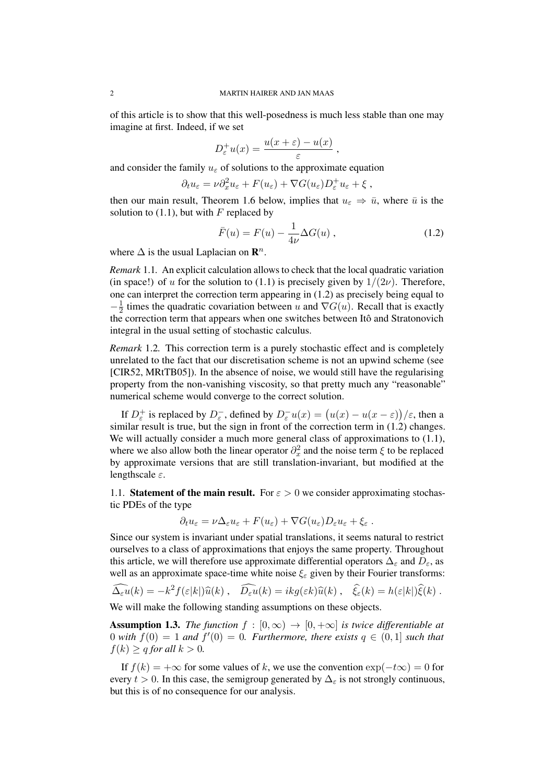of this article is to show that this well-posedness is much less stable than one may imagine at first. Indeed, if we set

$$
D_{\varepsilon}^{+}u(x) = \frac{u(x+\varepsilon) - u(x)}{\varepsilon},
$$

and consider the family  $u_{\varepsilon}$  of solutions to the approximate equation

$$
\partial_t u_{\varepsilon} = \nu \partial_x^2 u_{\varepsilon} + F(u_{\varepsilon}) + \nabla G(u_{\varepsilon}) D_{\varepsilon}^+ u_{\varepsilon} + \xi ,
$$

then our main result, Theorem 1.6 below, implies that  $u_{\varepsilon} \Rightarrow \bar{u}$ , where  $\bar{u}$  is the solution to  $(1.1)$ , but with F replaced by

$$
\bar{F}(u) = F(u) - \frac{1}{4\nu} \Delta G(u) , \qquad (1.2)
$$

where  $\Delta$  is the usual Laplacian on  $\mathbf{R}^n$ .

*Remark* 1.1*.* An explicit calculation allows to check that the local quadratic variation (in space!) of u for the solution to (1.1) is precisely given by  $1/(2\nu)$ . Therefore, one can interpret the correction term appearing in (1.2) as precisely being equal to  $-\frac{1}{2}$  $\frac{1}{2}$  times the quadratic covariation between u and  $\nabla G(u)$ . Recall that is exactly the correction term that appears when one switches between Itô and Stratonovich integral in the usual setting of stochastic calculus.

*Remark* 1.2*.* This correction term is a purely stochastic effect and is completely unrelated to the fact that our discretisation scheme is not an upwind scheme (see [CIR52, MRtTB05]). In the absence of noise, we would still have the regularising property from the non-vanishing viscosity, so that pretty much any "reasonable" numerical scheme would converge to the correct solution.

If  $D_{\varepsilon}^+$  is replaced by  $D_{\varepsilon}^-$ , defined by  $D_{\varepsilon}^-u(x) = (u(x) - u(x - \varepsilon))/\varepsilon$ , then a similar result is true, but the sign in front of the correction term in  $(1.2)$  changes. We will actually consider a much more general class of approximations to  $(1.1)$ , where we also allow both the linear operator  $\partial_x^2$  and the noise term  $\xi$  to be replaced by approximate versions that are still translation-invariant, but modified at the lengthscale  $\varepsilon$ .

1.1. Statement of the main result. For  $\varepsilon > 0$  we consider approximating stochastic PDEs of the type

$$
\partial_t u_{\varepsilon} = \nu \Delta_{\varepsilon} u_{\varepsilon} + F(u_{\varepsilon}) + \nabla G(u_{\varepsilon}) D_{\varepsilon} u_{\varepsilon} + \xi_{\varepsilon}.
$$

Since our system is invariant under spatial translations, it seems natural to restrict ourselves to a class of approximations that enjoys the same property. Throughout this article, we will therefore use approximate differential operators  $\Delta_{\varepsilon}$  and  $D_{\varepsilon}$ , as well as an approximate space-time white noise  $\xi_{\varepsilon}$  given by their Fourier transforms:

$$
\widehat{\Delta_{\varepsilon} u}(k) = -k^2 f(\varepsilon |k|) \widehat{u}(k) , \quad \widehat{D_{\varepsilon} u}(k) = i k g(\varepsilon k) \widehat{u}(k) , \quad \widehat{\xi}_{\varepsilon}(k) = h(\varepsilon |k|) \widehat{\xi}(k) .
$$

We will make the following standing assumptions on these objects.

**Assumption 1.3.** *The function*  $f : [0, \infty) \to [0, +\infty]$  *is twice differentiable at* 0 with  $f(0) = 1$  and  $f'(0) = 0$ . Furthermore, there exists  $q \in (0,1]$  such that  $f(k) > q$  *for all*  $k > 0$ *.* 

If  $f(k) = +\infty$  for some values of k, we use the convention  $\exp(-t\infty) = 0$  for every  $t > 0$ . In this case, the semigroup generated by  $\Delta_{\epsilon}$  is not strongly continuous, but this is of no consequence for our analysis.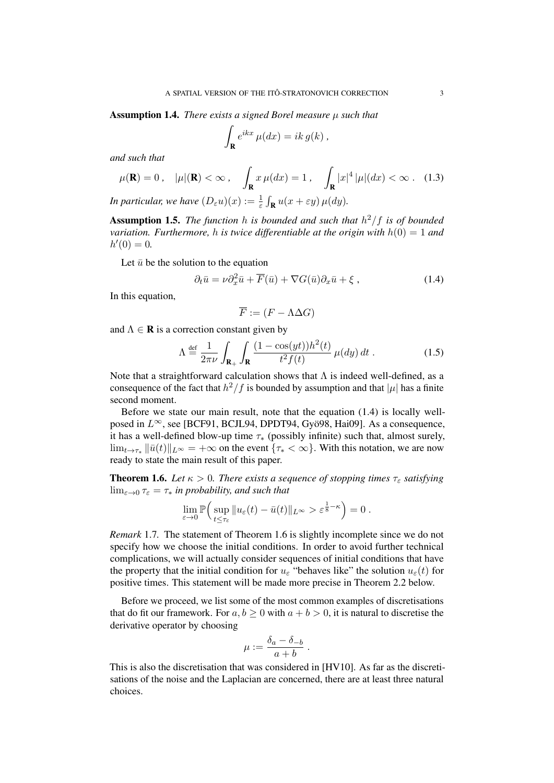Assumption 1.4. *There exists a signed Borel measure* µ *such that*

$$
\int_{\mathbf{R}} e^{ikx} \mu(dx) = ik \, g(k) \,,
$$

*and such that*

$$
\mu(\mathbf{R}) = 0, \quad |\mu|(\mathbf{R}) < \infty, \quad \int_{\mathbf{R}} x \,\mu(dx) = 1, \quad \int_{\mathbf{R}} |x|^4 \, |\mu|(dx) < \infty. \quad (1.3)
$$

*In particular, we have*  $(D_{\varepsilon} u)(x) := \frac{1}{\varepsilon} \int_{\mathbf{R}} u(x + \varepsilon y) \, \mu(dy)$ .

Assumption 1.5. *The function* h *is bounded and such that* h <sup>2</sup>/f *is of bounded variation. Furthermore, h is twice differentiable at the origin with*  $h(0) = 1$  *and*  $h'(0) = 0.$ 

Let  $\bar{u}$  be the solution to the equation

$$
\partial_t \bar{u} = \nu \partial_x^2 \bar{u} + \overline{F}(\bar{u}) + \nabla G(\bar{u}) \partial_x \bar{u} + \xi , \qquad (1.4)
$$

In this equation,

$$
\overline{F} := (F - \Lambda \Delta G)
$$

and  $\Lambda \in \mathbf{R}$  is a correction constant given by

$$
\Lambda \stackrel{\text{def}}{=} \frac{1}{2\pi\nu} \int_{\mathbf{R}_+} \int_{\mathbf{R}} \frac{(1 - \cos(yt))h^2(t)}{t^2 f(t)} \,\mu(dy) \, dt \,. \tag{1.5}
$$

Note that a straightforward calculation shows that  $\Lambda$  is indeed well-defined, as a consequence of the fact that  $h^2/f$  is bounded by assumption and that  $|\mu|$  has a finite second moment.

Before we state our main result, note that the equation (1.4) is locally wellposed in  $L^{\infty}$ , see [BCF91, BCJL94, DPDT94, Gyö98, Hai09]. As a consequence, it has a well-defined blow-up time  $\tau_*$  (possibly infinite) such that, almost surely,  $\lim_{t\to\tau^*} ||\bar{u}(t)||_{L^{\infty}} = +\infty$  on the event  $\{\tau^* < \infty\}$ . With this notation, we are now ready to state the main result of this paper.

**Theorem 1.6.** *Let*  $\kappa > 0$ *. There exists a sequence of stopping times*  $\tau_{\varepsilon}$  *satisfying*  $\lim_{\varepsilon\to 0} \tau_{\varepsilon} = \tau_*$  *in probability, and such that* 

$$
\lim_{\varepsilon \to 0} \mathbb{P}\Big( \sup_{t \le \tau_{\varepsilon}} \|u_{\varepsilon}(t) - \bar{u}(t)\|_{L^{\infty}} > \varepsilon^{\frac{1}{8} - \kappa} \Big) = 0.
$$

*Remark* 1.7*.* The statement of Theorem 1.6 is slightly incomplete since we do not specify how we choose the initial conditions. In order to avoid further technical complications, we will actually consider sequences of initial conditions that have the property that the initial condition for  $u_{\varepsilon}$  "behaves like" the solution  $u_{\varepsilon}(t)$  for positive times. This statement will be made more precise in Theorem 2.2 below.

Before we proceed, we list some of the most common examples of discretisations that do fit our framework. For  $a, b \ge 0$  with  $a + b > 0$ , it is natural to discretise the derivative operator by choosing

$$
\mu := \frac{\delta_a - \delta_{-b}}{a+b} \; .
$$

This is also the discretisation that was considered in [HV10]. As far as the discretisations of the noise and the Laplacian are concerned, there are at least three natural choices.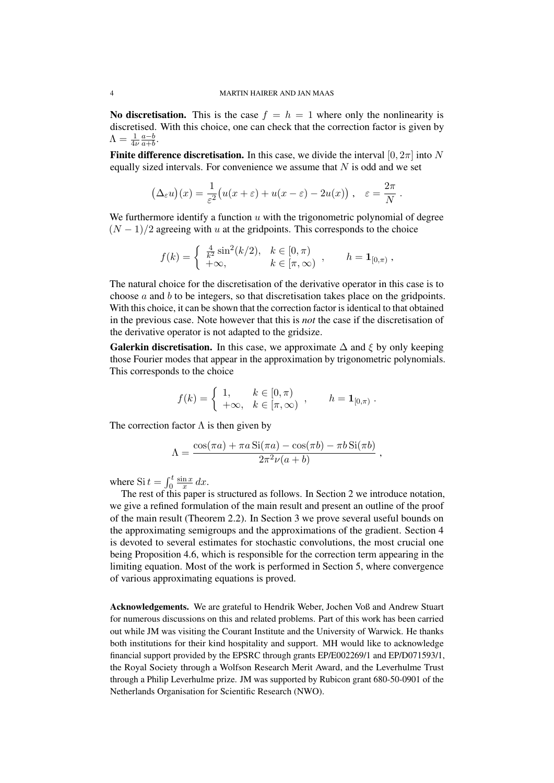No discretisation. This is the case  $f = h = 1$  where only the nonlinearity is discretised. With this choice, one can check that the correction factor is given by  $\Lambda = \frac{1}{4\nu}$  $a-b$  $\frac{a-b}{a+b}$ .

**Finite difference discretisation.** In this case, we divide the interval  $[0, 2\pi]$  into N equally sized intervals. For convenience we assume that  $N$  is odd and we set

$$
(\Delta_{\varepsilon} u)(x) = \frac{1}{\varepsilon^2} (u(x + \varepsilon) + u(x - \varepsilon) - 2u(x)), \quad \varepsilon = \frac{2\pi}{N}.
$$

We furthermore identify a function  $u$  with the trigonometric polynomial of degree  $(N-1)/2$  agreeing with u at the gridpoints. This corresponds to the choice

$$
f(k) = \begin{cases} \frac{4}{k^2} \sin^2(k/2), & k \in [0, \pi) \\ +\infty, & k \in [\pi, \infty) \end{cases}, \quad h = \mathbf{1}_{[0, \pi)},
$$

The natural choice for the discretisation of the derivative operator in this case is to choose  $a$  and  $b$  to be integers, so that discretisation takes place on the gridpoints. With this choice, it can be shown that the correction factor is identical to that obtained in the previous case. Note however that this is *not* the case if the discretisation of the derivative operator is not adapted to the gridsize.

Galerkin discretisation. In this case, we approximate  $\Delta$  and  $\xi$  by only keeping those Fourier modes that appear in the approximation by trigonometric polynomials. This corresponds to the choice

$$
f(k) = \begin{cases} 1, & k \in [0, \pi) \\ +\infty, & k \in [\pi, \infty) \end{cases}, \quad h = \mathbf{1}_{[0, \pi)}.
$$

The correction factor  $\Lambda$  is then given by

$$
\Lambda = \frac{\cos(\pi a) + \pi a \operatorname{Si}(\pi a) - \cos(\pi b) - \pi b \operatorname{Si}(\pi b)}{2\pi^2 \nu(a+b)},
$$

where  $\operatorname{Si} t = \int_0^t$  $\sin x$  $rac{\ln x}{x} dx$ .

The rest of this paper is structured as follows. In Section 2 we introduce notation, we give a refined formulation of the main result and present an outline of the proof of the main result (Theorem 2.2). In Section 3 we prove several useful bounds on the approximating semigroups and the approximations of the gradient. Section 4 is devoted to several estimates for stochastic convolutions, the most crucial one being Proposition 4.6, which is responsible for the correction term appearing in the limiting equation. Most of the work is performed in Section 5, where convergence of various approximating equations is proved.

Acknowledgements. We are grateful to Hendrik Weber, Jochen Voß and Andrew Stuart for numerous discussions on this and related problems. Part of this work has been carried out while JM was visiting the Courant Institute and the University of Warwick. He thanks both institutions for their kind hospitality and support. MH would like to acknowledge financial support provided by the EPSRC through grants EP/E002269/1 and EP/D071593/1, the Royal Society through a Wolfson Research Merit Award, and the Leverhulme Trust through a Philip Leverhulme prize. JM was supported by Rubicon grant 680-50-0901 of the Netherlands Organisation for Scientific Research (NWO).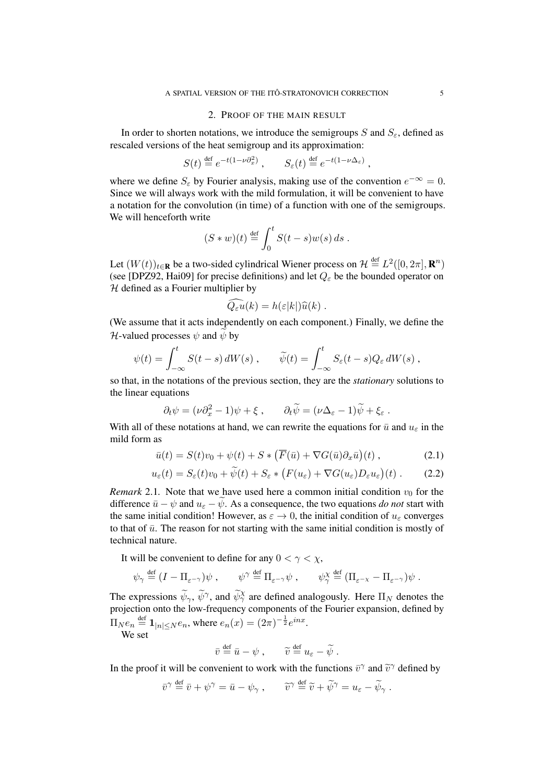#### 2. PROOF OF THE MAIN RESULT

In order to shorten notations, we introduce the semigroups S and  $S_{\varepsilon}$ , defined as rescaled versions of the heat semigroup and its approximation:

$$
S(t) \stackrel{\text{def}}{=} e^{-t(1-\nu \partial_x^2)}, \qquad S_{\varepsilon}(t) \stackrel{\text{def}}{=} e^{-t(1-\nu \Delta_{\varepsilon})},
$$

where we define  $S_{\varepsilon}$  by Fourier analysis, making use of the convention  $e^{-\infty} = 0$ . Since we will always work with the mild formulation, it will be convenient to have a notation for the convolution (in time) of a function with one of the semigroups. We will henceforth write

$$
(S*w)(t) \stackrel{\text{def}}{=} \int_0^t S(t-s)w(s) \, ds.
$$

Let  $(W(t))_{t\in\mathbf{R}}$  be a two-sided cylindrical Wiener process on  $\mathcal{H} \stackrel{\text{def}}{=} L^2([0, 2\pi], \mathbf{R}^n)$ (see [DPZ92, Hai09] for precise definitions) and let  $Q_{\varepsilon}$  be the bounded operator on  $H$  defined as a Fourier multiplier by

$$
\widehat{Q_{\varepsilon}u}(k) = h(\varepsilon|k|)\widehat{u}(k) .
$$

(We assume that it acts independently on each component.) Finally, we define the H-valued processes  $\psi$  and  $\psi$  by

$$
\psi(t) = \int_{-\infty}^t S(t-s) dW(s) , \qquad \widetilde{\psi}(t) = \int_{-\infty}^t S_{\varepsilon}(t-s) Q_{\varepsilon} dW(s) ,
$$

so that, in the notations of the previous section, they are the *stationary* solutions to the linear equations

$$
\partial_t \psi = (\nu \partial_x^2 - 1)\psi + \xi \,, \qquad \partial_t \widetilde{\psi} = (\nu \Delta_{\varepsilon} - 1)\widetilde{\psi} + \xi_{\varepsilon} \,.
$$

With all of these notations at hand, we can rewrite the equations for  $\bar{u}$  and  $u_{\varepsilon}$  in the mild form as

$$
\bar{u}(t) = S(t)v_0 + \psi(t) + S \ast \left( \overline{F}(\bar{u}) + \nabla G(\bar{u}) \partial_x \bar{u} \right)(t) , \qquad (2.1)
$$

$$
u_{\varepsilon}(t) = S_{\varepsilon}(t)v_0 + \psi(t) + S_{\varepsilon} * (F(u_{\varepsilon}) + \nabla G(u_{\varepsilon})D_{\varepsilon}u_{\varepsilon})(t).
$$
 (2.2)

*Remark* 2.1. Note that we have used here a common initial condition  $v_0$  for the difference  $\bar{u} - \psi$  and  $u_{\varepsilon} - \psi$ . As a consequence, the two equations *do not* start with the same initial condition! However, as  $\varepsilon \to 0$ , the initial condition of  $u_{\varepsilon}$  converges to that of  $\bar{u}$ . The reason for not starting with the same initial condition is mostly of technical nature.

It will be convenient to define for any  $0 < \gamma < \chi$ ,

$$
\psi_{\gamma} \stackrel{\text{def}}{=} (I - \Pi_{\varepsilon^{-\gamma}}) \psi , \qquad \psi^{\gamma} \stackrel{\text{def}}{=} \Pi_{\varepsilon^{-\gamma}} \psi , \qquad \psi_{\gamma}^{\chi} \stackrel{\text{def}}{=} (\Pi_{\varepsilon^{-\chi}} - \Pi_{\varepsilon^{-\gamma}}) \psi .
$$

The expressions  $\widetilde{\psi}_{\gamma}$ ,  $\widetilde{\psi}^{\gamma}$ , and  $\widetilde{\psi}_{\gamma}^{\chi}$  are defined analogously. Here  $\Pi_N$  denotes the projection onto the low-frequency components of the Fourier expansion, defined by  $\Pi_N e_n \stackrel{\text{def}}{=} \mathbf{1}_{|n| \le N} e_n$ , where  $e_n(x) = (2\pi)^{-\frac{1}{2}} e^{inx}$ .

We set

$$
\bar{v} \stackrel{\text{def}}{=} \bar{u} - \psi , \qquad \widetilde{v} \stackrel{\text{def}}{=} u_{\varepsilon} - \widetilde{\psi} .
$$

In the proof it will be convenient to work with the functions  $\bar{v}^{\gamma}$  and  $\tilde{v}^{\gamma}$  defined by

$$
\bar{v}^{\gamma} \stackrel{\text{def}}{=} \bar{v} + \psi^{\gamma} = \bar{u} - \psi_{\gamma} , \qquad \tilde{v}^{\gamma} \stackrel{\text{def}}{=} \tilde{v} + \tilde{\psi}^{\gamma} = u_{\varepsilon} - \tilde{\psi}_{\gamma} .
$$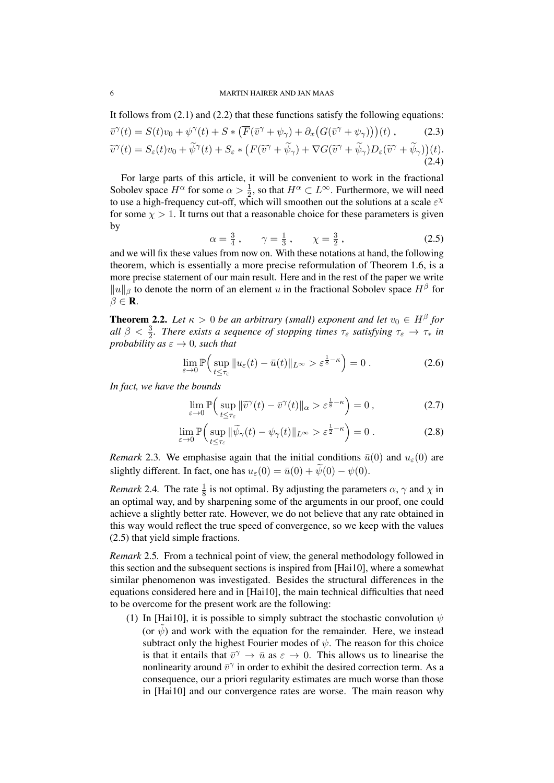#### 6 MARTIN HAIRER AND JAN MAAS

It follows from (2.1) and (2.2) that these functions satisfy the following equations:

$$
\overline{v}^{\gamma}(t) = S(t)v_0 + \psi^{\gamma}(t) + S \ast \left( \overline{F}(\overline{v}^{\gamma} + \psi_{\gamma}) + \partial_x \left( G(\overline{v}^{\gamma} + \psi_{\gamma}) \right) \right)(t), \qquad (2.3)
$$
  

$$
\widetilde{v}^{\gamma}(t) = S_{\varepsilon}(t)v_0 + \widetilde{\psi}^{\gamma}(t) + S_{\varepsilon} \ast \left( F(\widetilde{v}^{\gamma} + \widetilde{\psi}_{\gamma}) + \nabla G(\widetilde{v}^{\gamma} + \widetilde{\psi}_{\gamma}) D_{\varepsilon}(\widetilde{v}^{\gamma} + \widetilde{\psi}_{\gamma}) \right)(t).
$$
  
(2.4)

For large parts of this article, it will be convenient to work in the fractional Sobolev space  $H^{\alpha}$  for some  $\alpha > \frac{1}{2}$ , so that  $H^{\alpha} \subset L^{\infty}$ . Furthermore, we will need to use a high-frequency cut-off, which will smoothen out the solutions at a scale  $\varepsilon^{\chi}$ for some  $\chi > 1$ . It turns out that a reasonable choice for these parameters is given by

$$
\alpha = \frac{3}{4}, \quad \gamma = \frac{1}{3}, \quad \chi = \frac{3}{2},
$$
\n(2.5)

and we will fix these values from now on. With these notations at hand, the following theorem, which is essentially a more precise reformulation of Theorem 1.6, is a more precise statement of our main result. Here and in the rest of the paper we write  $||u||_\beta$  to denote the norm of an element u in the fractional Sobolev space  $H^\beta$  for  $\beta \in \mathbf{R}$ .

**Theorem 2.2.** Let  $\kappa > 0$  be an arbitrary (small) exponent and let  $v_0 \in H^{\beta}$  for *all*  $\beta < \frac{3}{2}$ . There exists a sequence of stopping times  $\tau_{\varepsilon}$  satisfying  $\tau_{\varepsilon} \to \tau_*$  in *probability as*  $\varepsilon \to 0$ *, such that* 

$$
\lim_{\varepsilon \to 0} \mathbb{P}\Big(\sup_{t \le \tau_{\varepsilon}} \|u_{\varepsilon}(t) - \bar{u}(t)\|_{L^{\infty}} > \varepsilon^{\frac{1}{8} - \kappa}\Big) = 0.
$$
 (2.6)

*In fact, we have the bounds*

$$
\lim_{\varepsilon \to 0} \mathbb{P}\Big(\sup_{t \le \tau_{\varepsilon}} \|\widetilde{v}^{\gamma}(t) - \bar{v}^{\gamma}(t)\|_{\alpha} > \varepsilon^{\frac{1}{8} - \kappa}\Big) = 0, \tag{2.7}
$$

$$
\lim_{\varepsilon \to 0} \mathbb{P}\Big( \sup_{t \le \tau_{\varepsilon}} \| \widetilde{\psi}_{\gamma}(t) - \psi_{\gamma}(t) \|_{L^{\infty}} > \varepsilon^{\frac{1}{2} - \kappa} \Big) = 0.
$$
 (2.8)

*Remark* 2.3. We emphasise again that the initial conditions  $\bar{u}(0)$  and  $u_{\epsilon}(0)$  are slightly different. In fact, one has  $u_{\varepsilon}(0) = \bar{u}(0) + \tilde{\psi}(0) - \psi(0)$ .

*Remark* 2.4. The rate  $\frac{1}{8}$  is not optimal. By adjusting the parameters  $\alpha$ ,  $\gamma$  and  $\chi$  in an optimal way, and by sharpening some of the arguments in our proof, one could achieve a slightly better rate. However, we do not believe that any rate obtained in this way would reflect the true speed of convergence, so we keep with the values (2.5) that yield simple fractions.

*Remark* 2.5*.* From a technical point of view, the general methodology followed in this section and the subsequent sections is inspired from [Hai10], where a somewhat similar phenomenon was investigated. Besides the structural differences in the equations considered here and in [Hai10], the main technical difficulties that need to be overcome for the present work are the following:

(1) In [Hai10], it is possible to simply subtract the stochastic convolution  $\psi$ (or  $\psi$ ) and work with the equation for the remainder. Here, we instead subtract only the highest Fourier modes of  $\psi$ . The reason for this choice is that it entails that  $\bar{v}^{\gamma} \to \bar{u}$  as  $\varepsilon \to 0$ . This allows us to linearise the nonlinearity around  $\bar{v}^{\gamma}$  in order to exhibit the desired correction term. As a consequence, our a priori regularity estimates are much worse than those in [Hai10] and our convergence rates are worse. The main reason why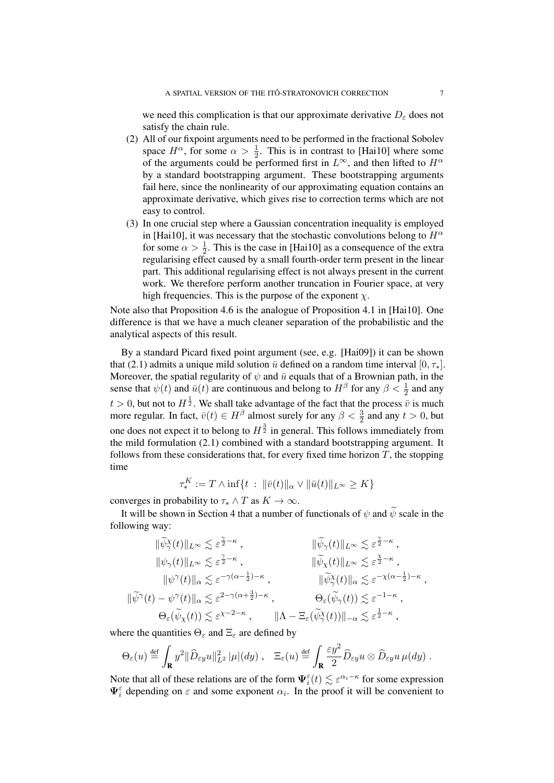we need this complication is that our approximate derivative  $D_{\varepsilon}$  does not satisfy the chain rule.

- (2) All of our fixpoint arguments need to be performed in the fractional Sobolev space  $H^{\alpha}$ , for some  $\alpha > \frac{1}{2}$ . This is in contrast to [Hai10] where some of the arguments could be performed first in  $L^{\infty}$ , and then lifted to  $H^{\alpha}$ by a standard bootstrapping argument. These bootstrapping arguments fail here, since the nonlinearity of our approximating equation contains an approximate derivative, which gives rise to correction terms which are not easy to control.
- (3) In one crucial step where a Gaussian concentration inequality is employed in [Hai10], it was necessary that the stochastic convolutions belong to  $H^{\alpha}$ for some  $\alpha > \frac{1}{2}$ . This is the case in [Hai10] as a consequence of the extra regularising effect caused by a small fourth-order term present in the linear part. This additional regularising effect is not always present in the current work. We therefore perform another truncation in Fourier space, at very high frequencies. This is the purpose of the exponent  $\chi$ .

Note also that Proposition 4.6 is the analogue of Proposition 4.1 in [Hai10]. One difference is that we have a much cleaner separation of the probabilistic and the analytical aspects of this result.

By a standard Picard fixed point argument (see, e.g. [Hai09]) it can be shown that (2.1) admits a unique mild solution  $\bar{u}$  defined on a random time interval  $[0, \tau_*]$ . Moreover, the spatial regularity of  $\psi$  and  $\bar{u}$  equals that of a Brownian path, in the sense that  $\psi(t)$  and  $\bar{u}(t)$  are continuous and belong to  $H^{\beta}$  for any  $\beta < \frac{1}{2}$  and any  $t > 0$ , but not to  $H^{\frac{1}{2}}$ . We shall take advantage of the fact that the process  $\bar{v}$  is much more regular. In fact,  $\bar{v}(t) \in H^{\beta}$  almost surely for any  $\beta < \frac{3}{2}$  and any  $t > 0$ , but one does not expect it to belong to  $H^{\frac{3}{2}}$  in general. This follows immediately from the mild formulation (2.1) combined with a standard bootstrapping argument. It follows from these considerations that, for every fixed time horizon  $T$ , the stopping time

$$
\tau_*^K := T \wedge \inf \{ t : \|\bar{v}(t)\|_{\alpha} \vee \|\bar{u}(t)\|_{L^{\infty}} \ge K \}
$$

converges in probability to  $\tau_* \wedge T$  as  $K \to \infty$ .

It will be shown in Section 4 that a number of functionals of  $\psi$  and  $\widetilde{\psi}$  scale in the following way:

$$
\begin{aligned}\n\|\widetilde{\psi}_{\gamma}^{\chi}(t)\|_{L^{\infty}} &\lesssim \varepsilon^{\frac{\gamma}{2}-\kappa} , & \|\widetilde{\psi}_{\gamma}(t)\|_{L^{\infty}} \lesssim \varepsilon^{\frac{\gamma}{2}-\kappa} ,\\ \|\psi_{\gamma}(t)\|_{L^{\infty}} &\lesssim \varepsilon^{\frac{\gamma}{2}-\kappa} , & \|\widetilde{\psi}_{\chi}(t)\|_{L^{\infty}} \lesssim \varepsilon^{\frac{\gamma}{2}-\kappa} ,\\ \|\widetilde{\psi}^{\gamma}(t)\|_{\alpha} &\lesssim \varepsilon^{-\gamma(\alpha-\frac{1}{2})-\kappa} , & \|\widetilde{\psi}_{\gamma}^{\chi}(t)\|_{\alpha} \lesssim \varepsilon^{-\chi(\alpha-\frac{1}{2})-\kappa} ,\\ \|\widetilde{\psi}^{\gamma}(t)-\psi^{\gamma}(t)\|_{\alpha} &\lesssim \varepsilon^{2-\gamma(\alpha+\frac{3}{2})-\kappa} , & \Theta_{\varepsilon}(\widetilde{\psi}_{\gamma}(t)) \lesssim \varepsilon^{-1-\kappa} ,\\ \Theta_{\varepsilon}(\widetilde{\psi}_{\chi}(t)) &\lesssim \varepsilon^{\chi-2-\kappa} , & \|\Lambda-\Xi_{\varepsilon}(\widetilde{\psi}_{\gamma}^{\chi}(t))\|_{-\alpha} \lesssim \varepsilon^{\frac{1}{2}-\kappa} ,\n\end{aligned}
$$

where the quantities  $\Theta_{\varepsilon}$  and  $\Xi_{\varepsilon}$  are defined by

$$
\Theta_{\varepsilon}(u) \stackrel{\text{def}}{=} \int_{\mathbf{R}} y^2 \|\widehat{D}_{\varepsilon y} u\|_{L^2}^2 |\mu|(dy) , \quad \Xi_{\varepsilon}(u) \stackrel{\text{def}}{=} \int_{\mathbf{R}} \frac{\varepsilon y^2}{2} \widehat{D}_{\varepsilon y} u \otimes \widehat{D}_{\varepsilon y} u \,\mu(dy) .
$$

Note that all of these relations are of the form  $\Psi_i^{\varepsilon}(t) \lesssim \varepsilon^{\alpha_i-\kappa}$  for some expression  $\Psi_i^{\varepsilon}$  depending on  $\varepsilon$  and some exponent  $\alpha_i$ . In the proof it will be convenient to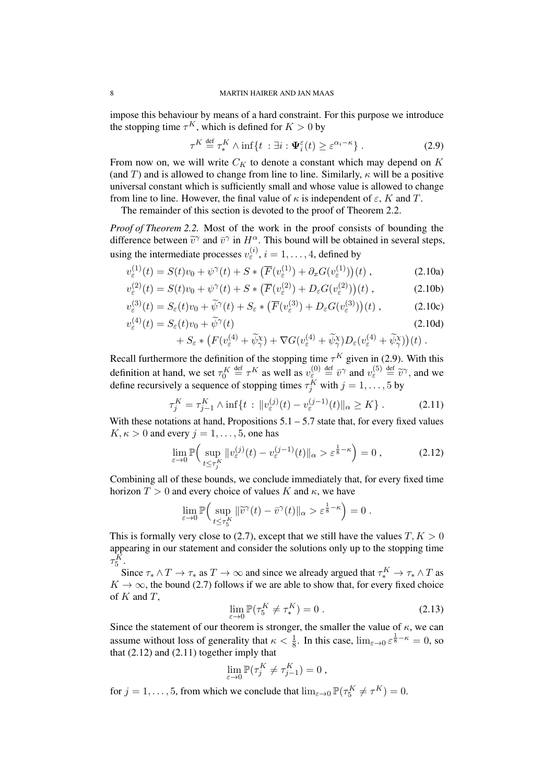impose this behaviour by means of a hard constraint. For this purpose we introduce the stopping time  $\tau^K$ , which is defined for  $K > 0$  by

$$
\tau^K \stackrel{\text{def}}{=} \tau_*^K \wedge \inf\{t \; : \exists i : \Psi_i^{\varepsilon}(t) \ge \varepsilon^{\alpha_i - \kappa}\} \; . \tag{2.9}
$$

From now on, we will write  $C_K$  to denote a constant which may depend on K (and T) and is allowed to change from line to line. Similarly,  $\kappa$  will be a positive universal constant which is sufficiently small and whose value is allowed to change from line to line. However, the final value of  $\kappa$  is independent of  $\varepsilon$ , K and T.

The remainder of this section is devoted to the proof of Theorem 2.2.

*Proof of Theorem 2.2.* Most of the work in the proof consists of bounding the difference between  $\tilde{v}^{\gamma}$  and  $\bar{v}^{\gamma}$  in  $H^{\alpha}$ . This bound will be obtained in several steps, using the intermediate processes  $v_{\varepsilon}^{(i)}$ ,  $i = 1, \dots, 4$ , defined by

$$
v_{\varepsilon}^{(1)}(t) = S(t)v_0 + \psi^{\gamma}(t) + S * (\overline{F}(v_{\varepsilon}^{(1)}) + \partial_x G(v_{\varepsilon}^{(1)}))(t) , \qquad (2.10a)
$$

$$
v_{\varepsilon}^{(2)}(t) = S(t)v_0 + \psi^{\gamma}(t) + S \ast \left(\overline{F}(v_{\varepsilon}^{(2)}) + D_{\varepsilon}G(v_{\varepsilon}^{(2)})\right)(t) ,
$$
 (2.10b)

$$
v_{\varepsilon}^{(3)}(t) = S_{\varepsilon}(t)v_0 + \widetilde{\psi}^{\gamma}(t) + S_{\varepsilon} * (\overline{F}(v_{\varepsilon}^{(3)}) + D_{\varepsilon}G(v_{\varepsilon}^{(3)}))(t) , \qquad (2.10c)
$$

$$
v_{\varepsilon}^{(4)}(t) = S_{\varepsilon}(t)v_0 + \widetilde{\psi}^{\gamma}(t)
$$
\n(2.10d)

+ 
$$
S_{\varepsilon} * (F(v_{\varepsilon}^{(4)} + \widetilde{\psi}_{\gamma}^{(4)}) + \nabla G(v_{\varepsilon}^{(4)} + \widetilde{\psi}_{\gamma}^{(4)})D_{\varepsilon}(v_{\varepsilon}^{(4)} + \widetilde{\psi}_{\gamma}^{(4)})(t)
$$
.

Recall furthermore the definition of the stopping time  $\tau^K$  given in (2.9). With this definition at hand, we set  $\tau_0^K \stackrel{\text{def}}{=} \tau^K$  as well as  $v_{\varepsilon}^{(0)} \stackrel{\text{def}}{=} \bar{v}^{\gamma}$  and  $v_{\varepsilon}^{(5)} \stackrel{\text{def}}{=} \tilde{v}^{\gamma}$ , and we define requiringly a sequence of stopping times  $\tau^K$  with  $i-1$  5 by define recursively a sequence of stopping times  $\tau_j^K$  with  $j = 1, \ldots, 5$  by

$$
\tau_j^K = \tau_{j-1}^K \wedge \inf\{t : \|v_{\varepsilon}^{(j)}(t) - v_{\varepsilon}^{(j-1)}(t)\|_{\alpha} \ge K\}.
$$
 (2.11)

With these notations at hand, Propositions  $5.1 - 5.7$  state that, for every fixed values  $K, \kappa > 0$  and every  $i = 1, \ldots, 5$ , one has

$$
\lim_{\varepsilon \to 0} \mathbb{P}\Big( \sup_{t \le \tau_j^K} \|v_{\varepsilon}^{(j)}(t) - v_{\varepsilon}^{(j-1)}(t)\|_{\alpha} > \varepsilon^{\frac{1}{8} - \kappa} \Big) = 0 ,\tag{2.12}
$$

Combining all of these bounds, we conclude immediately that, for every fixed time horizon  $T > 0$  and every choice of values K and  $\kappa$ , we have

$$
\lim_{\varepsilon \to 0} \mathbb{P}\Big( \sup_{t \le \tau_b^K} \| \widetilde{v}^\gamma(t) - \bar{v}^\gamma(t) \|_\alpha > \varepsilon^{\frac{1}{8} - \kappa} \Big) = 0.
$$

This is formally very close to (2.7), except that we still have the values  $T, K > 0$ appearing in our statement and consider the solutions only up to the stopping time  $\tau^K_5$ .

Since  $\tau_* \wedge T \to \tau_*$  as  $T \to \infty$  and since we already argued that  $\tau_*^K \to \tau_* \wedge T$  as  $K \to \infty$ , the bound (2.7) follows if we are able to show that, for every fixed choice of  $K$  and  $T$ ,

$$
\lim_{\varepsilon \to 0} \mathbb{P}(\tau_5^K \neq \tau_*^K) = 0.
$$
\n(2.13)

Since the statement of our theorem is stronger, the smaller the value of  $\kappa$ , we can assume without loss of generality that  $\kappa < \frac{1}{8}$ . In this case,  $\lim_{\varepsilon \to 0} \varepsilon^{\frac{1}{8} - \kappa} = 0$ , so that  $(2.12)$  and  $(2.11)$  together imply that

$$
\lim_{\varepsilon \to 0} \mathbb{P}(\tau_j^K \neq \tau_{j-1}^K) = 0 ,
$$

for  $j = 1, ..., 5$ , from which we conclude that  $\lim_{\varepsilon \to 0} \mathbb{P}(\tau_5^K \neq \tau^K) = 0$ .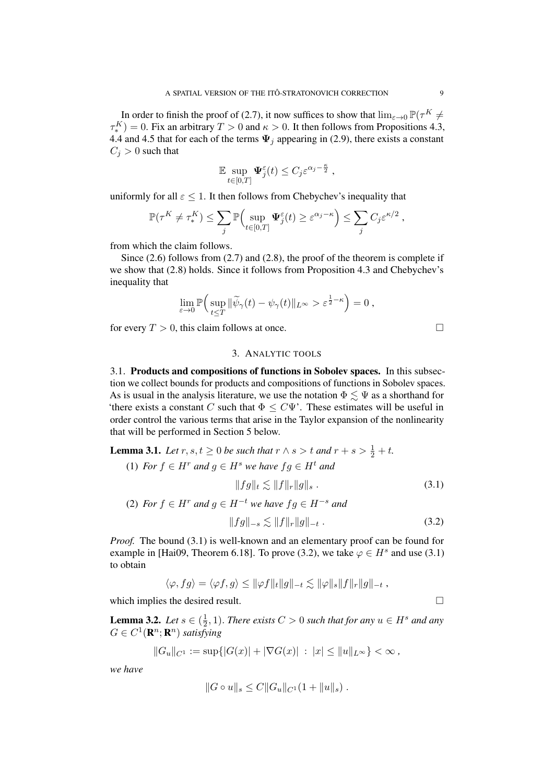In order to finish the proof of (2.7), it now suffices to show that  $\lim_{\varepsilon \to 0} \mathbb{P}(\tau^K \neq 0)$  $\tau_*^K$ ) = 0. Fix an arbitrary  $T > 0$  and  $\kappa > 0$ . It then follows from Propositions 4.3, 4.4 and 4.5 that for each of the terms  $\Psi_i$  appearing in (2.9), there exists a constant  $C_j > 0$  such that

$$
\mathbb{E} \sup_{t \in [0,T]} \Psi_j^{\varepsilon}(t) \leq C_j \varepsilon^{\alpha_j - \frac{\kappa}{2}},
$$

uniformly for all  $\varepsilon \leq 1$ . It then follows from Chebychev's inequality that

$$
\mathbb{P}(\tau^K \neq \tau^K_*) \leq \sum_j \mathbb{P}\Big(\sup_{t \in [0,T]} \Psi_j^{\varepsilon}(t) \geq \varepsilon^{\alpha_j - \kappa}\Big) \leq \sum_j C_j \varepsilon^{\kappa/2},
$$

from which the claim follows.

Since (2.6) follows from (2.7) and (2.8), the proof of the theorem is complete if we show that (2.8) holds. Since it follows from Proposition 4.3 and Chebychev's inequality that

$$
\lim_{\varepsilon \to 0} \mathbb{P}\Big(\sup_{t \leq T} \|\widetilde{\psi}_{\gamma}(t) - \psi_{\gamma}(t)\|_{L^{\infty}} > \varepsilon^{\frac{1}{2} - \kappa}\Big) = 0,
$$

for every  $T > 0$ , this claim follows at once.

# 3. ANALYTIC TOOLS

3.1. Products and compositions of functions in Sobolev spaces. In this subsection we collect bounds for products and compositions of functions in Sobolev spaces. As is usual in the analysis literature, we use the notation  $\Phi \lesssim \Psi$  as a shorthand for 'there exists a constant C such that  $\Phi \leq C\Psi'$ . These estimates will be useful in order control the various terms that arise in the Taylor expansion of the nonlinearity that will be performed in Section 5 below.

**Lemma 3.1.** *Let*  $r, s, t \ge 0$  *be such that*  $r \wedge s > t$  *and*  $r + s > \frac{1}{2} + t$ *.* 

(1) *For*  $f \in H^r$  *and*  $g \in H^s$  *we have*  $fg \in H^t$  *and*  $||fg||_t \leq ||f||_r ||g||_s$ . (3.1) (2) *For*  $f \in H^r$  *and*  $g \in H^{-t}$  *we have*  $fg \in H^{-s}$  *and* 

$$
||fg||_{-s} \lesssim ||f||_{r} ||g||_{-t} . \tag{3.2}
$$

*Proof.* The bound (3.1) is well-known and an elementary proof can be found for example in [Hai09, Theorem 6.18]. To prove (3.2), we take  $\varphi \in H^s$  and use (3.1) to obtain

$$
\langle \varphi, fg \rangle = \langle \varphi f, g \rangle \leq ||\varphi f||_t ||g||_{-t} \lesssim ||\varphi||_s ||f||_r ||g||_{-t} ,
$$

which implies the desired result.

**Lemma 3.2.** *Let*  $s \in (\frac{1}{2})$  $(\frac{1}{2}, 1)$ . *There exists*  $C > 0$  *such that for any*  $u \in H^s$  *and any*  $G \in C^1(\mathbf{R}^n; \mathbf{R}^n)$  satisfying

$$
||G_u||_{C^1} := \sup\{|G(x)| + |\nabla G(x)| \; : \; |x| \le ||u||_{L^{\infty}}\} < \infty ,
$$

*we have*

$$
||G \circ u||_s \leq C||G_u||_{C^1}(1 + ||u||_s) .
$$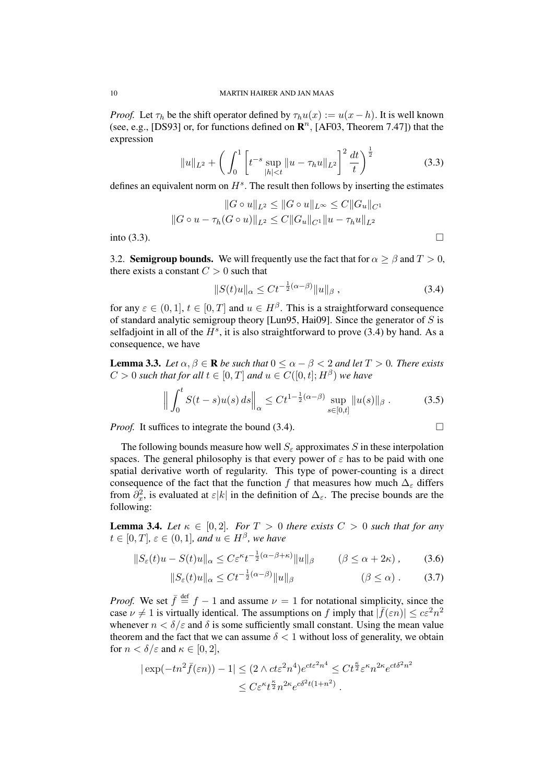*Proof.* Let  $\tau_h$  be the shift operator defined by  $\tau_h u(x) := u(x - h)$ . It is well known (see, e.g., [DS93] or, for functions defined on  $\mathbb{R}^n$ , [AF03, Theorem 7.47]) that the expression

$$
||u||_{L^{2}} + \left(\int_{0}^{1} \left[t^{-s} \sup_{|h| < t} ||u - \tau_h u||_{L^{2}}\right]^{2} \frac{dt}{t}\right)^{\frac{1}{2}} \tag{3.3}
$$

defines an equivalent norm on  $H^s$ . The result then follows by inserting the estimates

$$
||G \circ u||_{L^2} \le ||G \circ u||_{L^\infty} \le C||G_u||_{C^1}
$$
  
 
$$
||G \circ u - \tau_h(G \circ u)||_{L^2} \le C||G_u||_{C^1}||u - \tau_h u||_{L^2}
$$
  
into (3.3).

3.2. **Semigroup bounds.** We will frequently use the fact that for  $\alpha \ge \beta$  and  $T > 0$ , there exists a constant  $C > 0$  such that

$$
||S(t)u||_{\alpha} \le Ct^{-\frac{1}{2}(\alpha-\beta)}||u||_{\beta}, \qquad (3.4)
$$

for any  $\varepsilon \in (0,1], t \in [0,T]$  and  $u \in H^{\beta}$ . This is a straightforward consequence of standard analytic semigroup theory [Lun95, Hai09]. Since the generator of  $S$  is selfadjoint in all of the  $H^s$ , it is also straightforward to prove (3.4) by hand. As a consequence, we have

**Lemma 3.3.** *Let*  $\alpha, \beta \in \mathbb{R}$  *be such that*  $0 \leq \alpha - \beta < 2$  *and let*  $T > 0$ *. There exists*  $C > 0$  such that for all  $t \in [0, T]$  and  $u \in C([0, t]; H^{\beta})$  we have

$$
\left\| \int_0^t S(t-s)u(s) \, ds \right\|_{\alpha} \le C t^{1-\frac{1}{2}(\alpha-\beta)} \sup_{s \in [0,t]} \|u(s)\|_{\beta}. \tag{3.5}
$$

*Proof.* It suffices to integrate the bound  $(3.4)$ .

The following bounds measure how well  $S_{\varepsilon}$  approximates S in these interpolation spaces. The general philosophy is that every power of  $\varepsilon$  has to be paid with one spatial derivative worth of regularity. This type of power-counting is a direct consequence of the fact that the function f that measures how much  $\Delta_{\varepsilon}$  differs from  $\partial_x^2$ , is evaluated at  $\varepsilon|k|$  in the definition of  $\Delta_{\varepsilon}$ . The precise bounds are the following:

**Lemma 3.4.** *Let*  $\kappa \in [0, 2]$ *. For*  $T > 0$  *there exists*  $C > 0$  *such that for any*  $t \in [0, T]$ ,  $\varepsilon \in (0, 1]$ , and  $u \in H^{\beta}$ , we have

$$
||S_{\varepsilon}(t)u - S(t)u||_{\alpha} \le C\varepsilon^{\kappa} t^{-\frac{1}{2}(\alpha-\beta+\kappa)}||u||_{\beta} \qquad (\beta \le \alpha+2\kappa), \qquad (3.6)
$$

$$
||S_{\varepsilon}(t)u||_{\alpha} \le Ct^{-\frac{1}{2}(\alpha-\beta)}||u||_{\beta} \qquad (\beta \le \alpha). \qquad (3.7)
$$

*Proof.* We set  $\bar{f} \stackrel{\text{def}}{=} f - 1$  and assume  $\nu = 1$  for notational simplicity, since the case  $\nu \neq 1$  is virtually identical. The assumptions on f imply that  $|\bar{f}(\varepsilon n)| \leq c \varepsilon^2 n^2$ whenever  $n < \delta/\varepsilon$  and  $\delta$  is some sufficiently small constant. Using the mean value theorem and the fact that we can assume  $\delta$  < 1 without loss of generality, we obtain for  $n < \delta/\varepsilon$  and  $\kappa \in [0, 2]$ ,

$$
|\exp(-tn^2\bar{f}(\varepsilon n)) - 1| \le (2 \wedge ct\varepsilon^2 n^4)e^{ct\varepsilon^2 n^4} \le Ct^{\frac{\kappa}{2}}\varepsilon^{\kappa}n^{2\kappa}e^{ct\delta^2 n^2}
$$
  

$$
\le C\varepsilon^{\kappa}t^{\frac{\kappa}{2}}n^{2\kappa}e^{c\delta^2t(1+n^2)}.
$$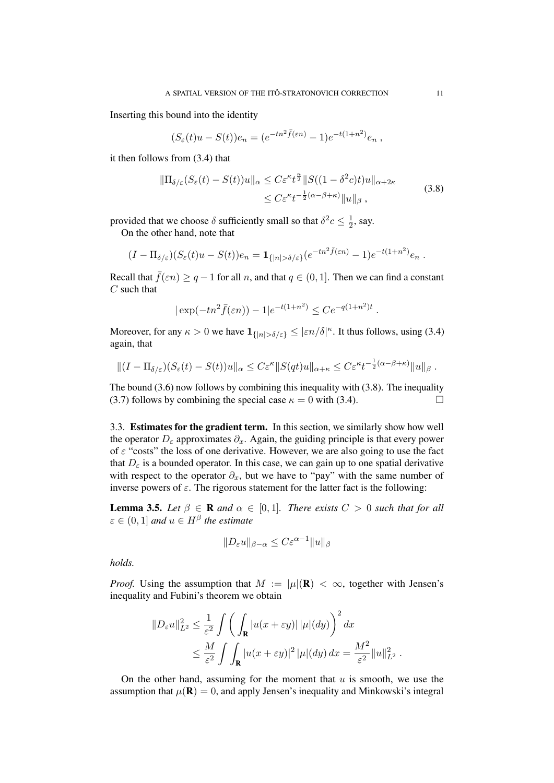Inserting this bound into the identity

$$
(S_{\varepsilon}(t)u - S(t))e_n = (e^{-tn^2\bar{f}(\varepsilon n)} - 1)e^{-t(1+n^2)}e_n,
$$

it then follows from (3.4) that

$$
\|\Pi_{\delta/\varepsilon}(S_{\varepsilon}(t) - S(t))u\|_{\alpha} \le C\varepsilon^{\kappa}t^{\frac{\kappa}{2}}\|S((1 - \delta^{2}c)t)u\|_{\alpha + 2\kappa} \le C\varepsilon^{\kappa}t^{-\frac{1}{2}(\alpha - \beta + \kappa)}\|u\|_{\beta},
$$
\n(3.8)

provided that we choose  $\delta$  sufficiently small so that  $\delta^2 c \leq \frac{1}{2}$  $\frac{1}{2}$ , say.

On the other hand, note that

$$
(I - \Pi_{\delta/\varepsilon})(S_{\varepsilon}(t)u - S(t))e_n = \mathbf{1}_{\{|n| > \delta/\varepsilon\}}(e^{-tn^2\bar{f}(\varepsilon n)} - 1)e^{-t(1+n^2)}e_n.
$$

Recall that  $\bar{f}(\varepsilon n) \ge q - 1$  for all n, and that  $q \in (0, 1]$ . Then we can find a constant  $C$  such that

$$
|\exp(-tn^2 \bar{f}(\varepsilon n)) - 1|e^{-t(1+n^2)} \leq Ce^{-q(1+n^2)t}
$$
.

Moreover, for any  $\kappa > 0$  we have  $1_{\{|n| > \delta/\varepsilon\}} \leq |\varepsilon n/\delta|^{\kappa}$ . It thus follows, using (3.4) again, that

$$
||(I - \Pi_{\delta/\varepsilon})(S_{\varepsilon}(t) - S(t))u||_{\alpha} \leq C\varepsilon^{\kappa} ||S(qt)u||_{\alpha+\kappa} \leq C\varepsilon^{\kappa}t^{-\frac{1}{2}(\alpha-\beta+\kappa)}||u||_{\beta}.
$$

The bound (3.6) now follows by combining this inequality with (3.8). The inequality (3.7) follows by combining the special case  $\kappa = 0$  with (3.4).

3.3. Estimates for the gradient term. In this section, we similarly show how well the operator  $D_{\varepsilon}$  approximates  $\partial_x$ . Again, the guiding principle is that every power of  $\varepsilon$  "costs" the loss of one derivative. However, we are also going to use the fact that  $D_{\varepsilon}$  is a bounded operator. In this case, we can gain up to one spatial derivative with respect to the operator  $\partial_x$ , but we have to "pay" with the same number of inverse powers of  $\varepsilon$ . The rigorous statement for the latter fact is the following:

**Lemma 3.5.** *Let*  $\beta \in \mathbb{R}$  *and*  $\alpha \in [0,1]$ *. There exists*  $C > 0$  *such that for all*  $\varepsilon \in (0,1]$  and  $u \in H^{\beta}$  the estimate

$$
||D_{\varepsilon}u||_{\beta-\alpha} \leq C\varepsilon^{\alpha-1}||u||_{\beta}
$$

*holds.*

*Proof.* Using the assumption that  $M := |\mu|(\mathbf{R}) < \infty$ , together with Jensen's inequality and Fubini's theorem we obtain

$$
||D_{\varepsilon}u||_{L^{2}}^{2} \leq \frac{1}{\varepsilon^{2}} \int \left( \int_{\mathbf{R}} |u(x+\varepsilon y)| |\mu|(dy) \right)^{2} dx
$$
  
 
$$
\leq \frac{M}{\varepsilon^{2}} \int \int_{\mathbf{R}} |u(x+\varepsilon y)|^{2} |\mu|(dy) dx = \frac{M^{2}}{\varepsilon^{2}} ||u||_{L^{2}}^{2}.
$$

On the other hand, assuming for the moment that  $u$  is smooth, we use the assumption that  $\mu(\mathbf{R}) = 0$ , and apply Jensen's inequality and Minkowski's integral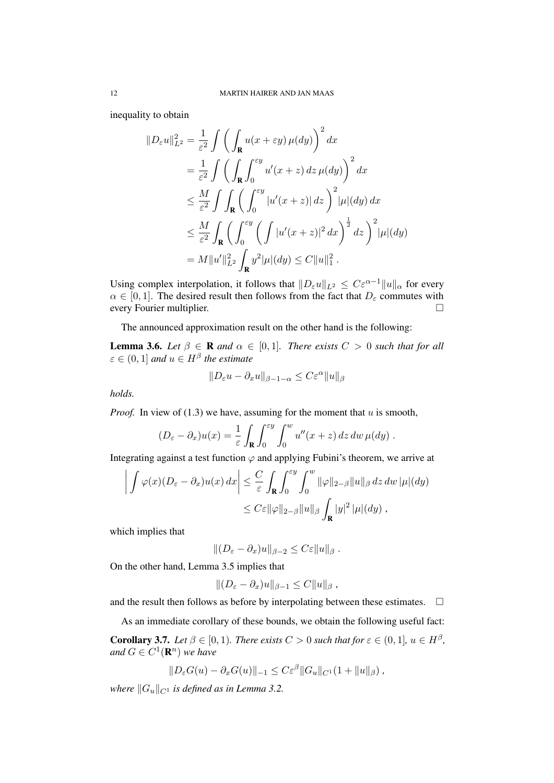inequality to obtain

$$
\|D_{\varepsilon}u\|_{L^{2}}^{2} = \frac{1}{\varepsilon^{2}} \int \left( \int_{\mathbf{R}} u(x+\varepsilon y) \,\mu(dy) \right)^{2} dx
$$
  
\n
$$
= \frac{1}{\varepsilon^{2}} \int \left( \int_{\mathbf{R}} \int_{0}^{\varepsilon y} u'(x+z) \, dz \,\mu(dy) \right)^{2} dx
$$
  
\n
$$
\leq \frac{M}{\varepsilon^{2}} \int \int_{\mathbf{R}} \left( \int_{0}^{\varepsilon y} |u'(x+z)| \, dz \right)^{2} |\mu|(dy) dx
$$
  
\n
$$
\leq \frac{M}{\varepsilon^{2}} \int_{\mathbf{R}} \left( \int_{0}^{\varepsilon y} \left( \int |u'(x+z)|^{2} \, dx \right)^{\frac{1}{2}} dz \right)^{2} |\mu|(dy)
$$
  
\n
$$
= M \|u'\|_{L^{2}}^{2} \int_{\mathbf{R}} y^{2} |\mu|(dy) \leq C \|u\|_{1}^{2} .
$$

Using complex interpolation, it follows that  $||D_\varepsilon u||_{L^2} \leq C\varepsilon^{\alpha-1}||u||_{\alpha}$  for every  $\alpha \in [0, 1]$ . The desired result then follows from the fact that  $D_{\varepsilon}$  commutes with every Fourier multiplier.

The announced approximation result on the other hand is the following:

**Lemma 3.6.** *Let*  $\beta \in \mathbb{R}$  *and*  $\alpha \in [0,1]$ *. There exists*  $C > 0$  *such that for all*  $\varepsilon \in (0,1]$  and  $u \in H^{\beta}$  the estimate

$$
||D_\varepsilon u - \partial_x u||_{\beta - 1 - \alpha} \leq C \varepsilon^{\alpha} ||u||_{\beta}
$$

*holds.*

*Proof.* In view of  $(1.3)$  we have, assuming for the moment that u is smooth,

$$
(D_{\varepsilon} - \partial_x)u(x) = \frac{1}{\varepsilon} \int_{\mathbf{R}} \int_0^{\varepsilon y} \int_0^w u''(x + z) dz dw \,\mu(dy) .
$$

Integrating against a test function  $\varphi$  and applying Fubini's theorem, we arrive at

$$
\left| \int \varphi(x) (D_{\varepsilon} - \partial_x) u(x) \, dx \right| \leq \frac{C}{\varepsilon} \int_{\mathbf{R}} \int_0^{\varepsilon y} \int_0^w \|\varphi\|_{2-\beta} \|u\|_{\beta} \, dz \, dw \, |\mu|(dy) \leq C \varepsilon \|\varphi\|_{2-\beta} \|u\|_{\beta} \int_{\mathbf{R}} |y|^2 \, |\mu|(dy) ,
$$

which implies that

 $||(D_{\varepsilon}-\partial_{x})u||_{\beta-2}\leq C\varepsilon||u||_{\beta}$ .

On the other hand, Lemma 3.5 implies that

$$
|| (D_{\varepsilon} - \partial_x)u ||_{\beta - 1} \leq C ||u||_{\beta} ,
$$

and the result then follows as before by interpolating between these estimates.  $\Box$ 

As an immediate corollary of these bounds, we obtain the following useful fact:

**Corollary 3.7.** Let  $\beta \in [0, 1)$ . There exists  $C > 0$  such that for  $\varepsilon \in (0, 1]$ ,  $u \in H^{\beta}$ , and  $G \in C^1(\mathbf{R}^n)$  we have

$$
||D_{\varepsilon}G(u) - \partial_x G(u)||_{-1} \leq C \varepsilon^{\beta} ||G_u||_{C^1} (1 + ||u||_{\beta}),
$$

*where*  $||G_u||_{C^1}$  *is defined as in Lemma 3.2.*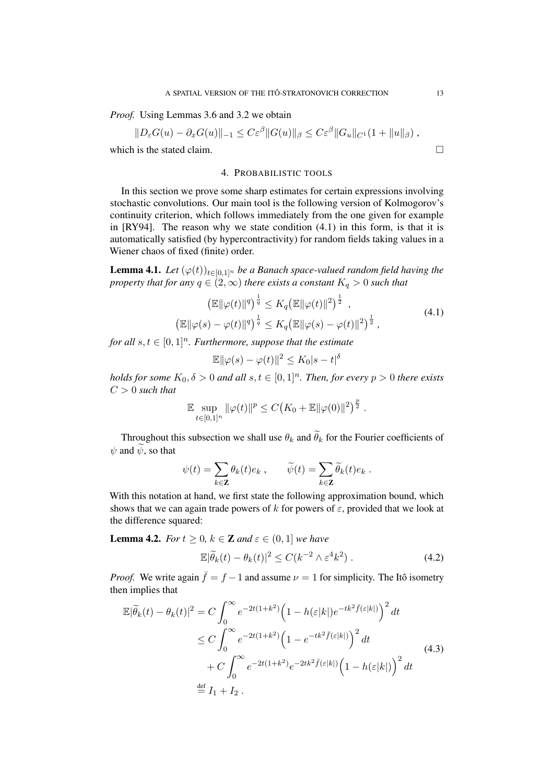*Proof.* Using Lemmas 3.6 and 3.2 we obtain

$$
||D_{\varepsilon}G(u) - \partial_x G(u)||_{-1} \leq C\varepsilon^{\beta} ||G(u)||_{\beta} \leq C\varepsilon^{\beta} ||G_u||_{C^1} (1 + ||u||_{\beta}),
$$

which is the stated claim.

## 4. PROBABILISTIC TOOLS

In this section we prove some sharp estimates for certain expressions involving stochastic convolutions. Our main tool is the following version of Kolmogorov's continuity criterion, which follows immediately from the one given for example in [RY94]. The reason why we state condition (4.1) in this form, is that it is automatically satisfied (by hypercontractivity) for random fields taking values in a Wiener chaos of fixed (finite) order.

**Lemma 4.1.** *Let*  $(\varphi(t))_{t\in[0,1]^n}$  *be a Banach space-valued random field having the property that for any*  $q \in (2, \infty)$  *there exists a constant*  $K_q > 0$  *such that* 

$$
\left(\mathbb{E} \|\varphi(t)\|^q\right)^{\frac{1}{q}} \le K_q \left(\mathbb{E} \|\varphi(t)\|^2\right)^{\frac{1}{2}},
$$
\n
$$
\left(\mathbb{E} \|\varphi(s) - \varphi(t)\|^q\right)^{\frac{1}{q}} \le K_q \left(\mathbb{E} \|\varphi(s) - \varphi(t)\|^2\right)^{\frac{1}{2}},
$$
\n(4.1)

*for all*  $s, t \in [0, 1]^n$ *. Furthermore, suppose that the estimate* 

$$
\mathbb{E} \|\varphi(s) - \varphi(t)\|^2 \le K_0 |s - t|^\delta
$$

*holds for some*  $K_0$ ,  $\delta > 0$  *and all*  $s, t \in [0, 1]^n$ *. Then, for every*  $p > 0$  *there exists*  $C > 0$  *such that* 

$$
\mathbb{E} \sup_{t \in [0,1]^n} \|\varphi(t)\|^p \le C\big(K_0 + \mathbb{E} \|\varphi(0)\|^2\big)^{\frac{p}{2}}.
$$

Throughout this subsection we shall use  $\theta_k$  and  $\theta_k$  for the Fourier coefficients of  $\psi$  and  $\psi$ , so that

$$
\psi(t) = \sum_{k \in \mathbf{Z}} \theta_k(t) e_k , \qquad \widetilde{\psi}(t) = \sum_{k \in \mathbf{Z}} \widetilde{\theta}_k(t) e_k .
$$

With this notation at hand, we first state the following approximation bound, which shows that we can again trade powers of k for powers of  $\varepsilon$ , provided that we look at the difference squared:

**Lemma 4.2.** *For*  $t \geq 0$ *,*  $k \in \mathbb{Z}$  *and*  $\varepsilon \in (0, 1]$  *we have* 

$$
\mathbb{E}|\widetilde{\theta}_k(t) - \theta_k(t)|^2 \le C(k^{-2} \wedge \varepsilon^4 k^2) \,. \tag{4.2}
$$

*Proof.* We write again  $\bar{f} = f - 1$  and assume  $\nu = 1$  for simplicity. The Itô isometry then implies that

$$
\mathbb{E}|\widetilde{\theta}_k(t) - \theta_k(t)|^2 = C \int_0^\infty e^{-2t(1+k^2)} \left(1 - h(\varepsilon|k|)e^{-tk^2\bar{f}(\varepsilon|k|)}\right)^2 dt
$$
  
\n
$$
\leq C \int_0^\infty e^{-2t(1+k^2)} \left(1 - e^{-tk^2\bar{f}(\varepsilon|k|)}\right)^2 dt
$$
  
\n
$$
+ C \int_0^\infty e^{-2t(1+k^2)} e^{-2tk^2\bar{f}(\varepsilon|k|)} \left(1 - h(\varepsilon|k|)\right)^2 dt
$$
  
\n
$$
\stackrel{\text{def}}{=} I_1 + I_2.
$$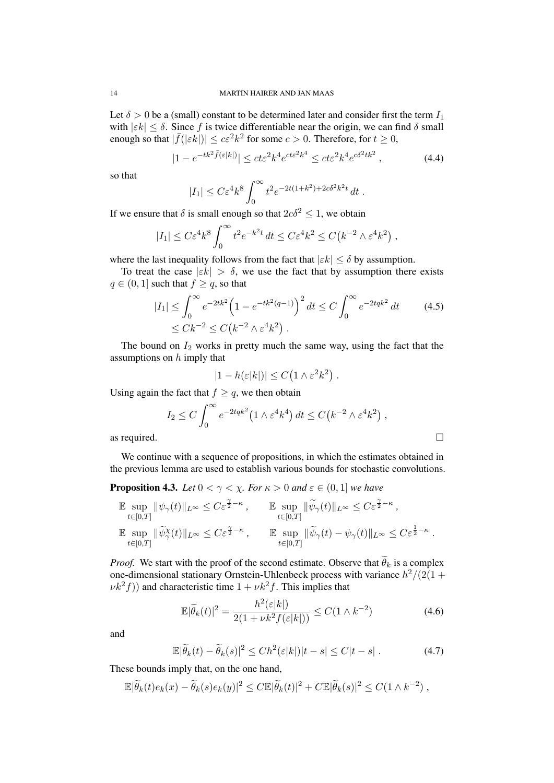Let  $\delta > 0$  be a (small) constant to be determined later and consider first the term  $I_1$ with  $|\varepsilon k| \leq \delta$ . Since f is twice differentiable near the origin, we can find  $\delta$  small enough so that  $|\bar{f}(|\varepsilon k|)| \le c\varepsilon^2 k^2$  for some  $c > 0$ . Therefore, for  $t \ge 0$ ,

$$
|1 - e^{-tk^2 \bar{f}(\varepsilon|k|)}| \le ct\varepsilon^2 k^4 e^{ct\varepsilon^2 k^4} \le ct\varepsilon^2 k^4 e^{c\delta^2 tk^2}, \qquad (4.4)
$$

so that

$$
|I_1| \leq C \varepsilon^4 k^8 \int_0^\infty t^2 e^{-2t(1+k^2) + 2c\delta^2 k^2 t} dt.
$$

If we ensure that  $\delta$  is small enough so that  $2c\delta^2 \leq 1$ , we obtain

$$
|I_1| \leq C\varepsilon^4 k^8 \int_0^\infty t^2 e^{-k^2 t} dt \leq C\varepsilon^4 k^2 \leq C(k^{-2} \wedge \varepsilon^4 k^2),
$$

where the last inequality follows from the fact that  $|\varepsilon k| \leq \delta$  by assumption.

To treat the case  $|\varepsilon k| > \delta$ , we use the fact that by assumption there exists  $q \in (0, 1]$  such that  $f \ge q$ , so that

$$
|I_1| \le \int_0^\infty e^{-2tk^2} \left(1 - e^{-tk^2(q-1)}\right)^2 dt \le C \int_0^\infty e^{-2tqk^2} dt \qquad (4.5)
$$
  
  $\le Ck^{-2} \le C(k^{-2} \wedge \varepsilon^4 k^2).$ 

The bound on  $I_2$  works in pretty much the same way, using the fact that the assumptions on  $h$  imply that

$$
|1 - h(\varepsilon|k|)| \le C(1 \wedge \varepsilon^2 k^2).
$$

Using again the fact that  $f \ge q$ , we then obtain

$$
I_2 \leq C \int_0^\infty e^{-2tqk^2} \left(1 \wedge \varepsilon^4 k^4\right) dt \leq C \left(k^{-2} \wedge \varepsilon^4 k^2\right),
$$

as required.

We continue with a sequence of propositions, in which the estimates obtained in the previous lemma are used to establish various bounds for stochastic convolutions.

**Proposition 4.3.** *Let*  $0 < \gamma < \chi$ *. For*  $\kappa > 0$  *and*  $\varepsilon \in (0, 1]$  *we have* 

$$
\mathbb{E} \sup_{t \in [0,T]} \|\psi_{\gamma}(t)\|_{L^{\infty}} \leq C \varepsilon^{\frac{\gamma}{2} - \kappa}, \qquad \mathbb{E} \sup_{t \in [0,T]} \|\widetilde{\psi}_{\gamma}(t)\|_{L^{\infty}} \leq C \varepsilon^{\frac{\gamma}{2} - \kappa},
$$
  

$$
\mathbb{E} \sup_{t \in [0,T]} \|\widetilde{\psi}_{\gamma}^{\chi}(t)\|_{L^{\infty}} \leq C \varepsilon^{\frac{\gamma}{2} - \kappa}, \qquad \mathbb{E} \sup_{t \in [0,T]} \|\widetilde{\psi}_{\gamma}(t) - \psi_{\gamma}(t)\|_{L^{\infty}} \leq C \varepsilon^{\frac{1}{2} - \kappa}.
$$

*Proof.* We start with the proof of the second estimate. Observe that  $\theta_k$  is a complex one-dimensional stationary Ornstein-Uhlenbeck process with variance  $h^2/(2(1 +$  $(\nu k^2 f)$ ) and characteristic time  $1 + \nu k^2 f$ . This implies that

$$
\mathbb{E}|\widetilde{\theta}_k(t)|^2 = \frac{h^2(\varepsilon|k|)}{2(1+\nu k^2 f(\varepsilon|k|))} \le C(1 \wedge k^{-2})
$$
\n(4.6)

and

$$
\mathbb{E}|\widetilde{\theta}_k(t) - \widetilde{\theta}_k(s)|^2 \le Ch^2(\varepsilon|k|)|t - s| \le C|t - s| \,. \tag{4.7}
$$

These bounds imply that, on the one hand,

$$
\mathbb{E}|\widetilde{\theta}_k(t)e_k(x)-\widetilde{\theta}_k(s)e_k(y)|^2 \leq C \mathbb{E}|\widetilde{\theta}_k(t)|^2 + C \mathbb{E}|\widetilde{\theta}_k(s)|^2 \leq C(1 \wedge k^{-2}),
$$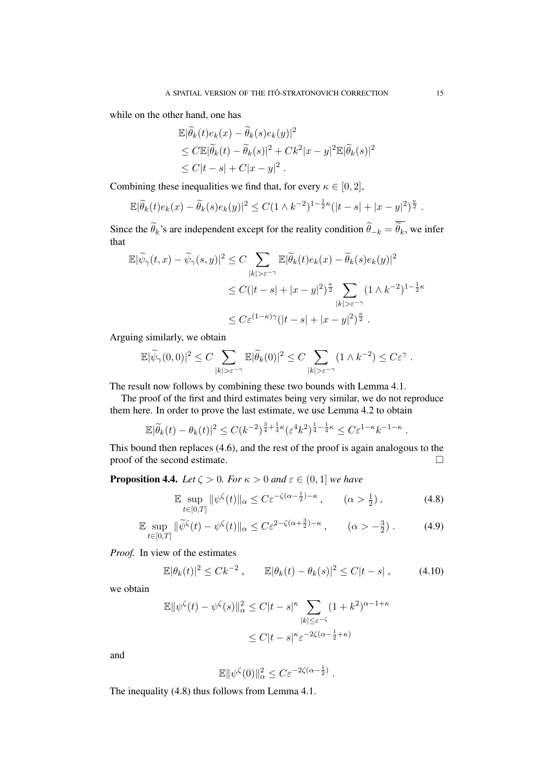while on the other hand, one has

$$
\mathbb{E}|\widetilde{\theta}_k(t)e_k(x) - \widetilde{\theta}_k(s)e_k(y)|^2
$$
  
\n
$$
\leq C \mathbb{E}|\widetilde{\theta}_k(t) - \widetilde{\theta}_k(s)|^2 + Ck^2|x - y|^2 \mathbb{E}|\widetilde{\theta}_k(s)|^2
$$
  
\n
$$
\leq C|t - s| + C|x - y|^2.
$$

Combining these inequalities we find that, for every  $\kappa \in [0, 2]$ ,

$$
\mathbb{E}|\widetilde{\theta}_k(t)e_k(x)-\widetilde{\theta}_k(s)e_k(y)|^2 \leq C(1 \wedge k^{-2})^{1-\frac{1}{2}\kappa}(|t-s|+|x-y|^2)^{\frac{\kappa}{2}}.
$$

Since the  $\theta_k$ 's are independent except for the reality condition  $\theta_{-k} = \theta_k$ , we infer that

$$
\mathbb{E}|\widetilde{\psi}_{\gamma}(t,x)-\widetilde{\psi}_{\gamma}(s,y)|^{2} \leq C \sum_{|k|>\varepsilon^{-\gamma}} \mathbb{E}|\widetilde{\theta}_{k}(t)e_{k}(x)-\widetilde{\theta}_{k}(s)e_{k}(y)|^{2}
$$
  

$$
\leq C(|t-s|+|x-y|^{2})^{\frac{\kappa}{2}} \sum_{|k|>\varepsilon^{-\gamma}} (1 \wedge k^{-2})^{1-\frac{1}{2}\kappa}
$$
  

$$
\leq C \varepsilon^{(1-\kappa)\gamma}(|t-s|+|x-y|^{2})^{\frac{\kappa}{2}}.
$$

Arguing similarly, we obtain

$$
\mathbb{E}|\widetilde{\psi}_{\gamma}(0,0)|^2 \leq C \sum_{|k| > \varepsilon^{-\gamma}} \mathbb{E}|\widetilde{\theta}_k(0)|^2 \leq C \sum_{|k| > \varepsilon^{-\gamma}} (1 \wedge k^{-2}) \leq C \varepsilon^{\gamma}.
$$

The result now follows by combining these two bounds with Lemma 4.1.

The proof of the first and third estimates being very similar, we do not reproduce them here. In order to prove the last estimate, we use Lemma 4.2 to obtain

$$
\mathbb{E}|\widetilde{\theta}_k(t) - \theta_k(t)|^2 \le C(k^{-2})^{\frac{3}{4} + \frac{1}{4}\kappa} (\varepsilon^4 k^2)^{\frac{1}{4} - \frac{1}{4}\kappa} \le C\varepsilon^{1-\kappa} k^{-1-\kappa}.
$$

This bound then replaces (4.6), and the rest of the proof is again analogous to the proof of the second estimate.

**Proposition 4.4.** *Let*  $\zeta > 0$ *. For*  $\kappa > 0$  *and*  $\varepsilon \in (0, 1]$  *we have* 

$$
\mathbb{E} \sup_{t \in [0,T]} \|\psi^{\zeta}(t)\|_{\alpha} \le C\varepsilon^{-\zeta(\alpha - \frac{1}{2}) - \kappa}, \qquad (\alpha > \frac{1}{2}), \tag{4.8}
$$

$$
\mathbb{E} \sup_{t \in [0,T]} \|\widetilde{\psi}^{\zeta}(t) - \psi^{\zeta}(t)\|_{\alpha} \le C\varepsilon^{2-\zeta(\alpha + \frac{3}{2}) - \kappa}, \qquad (\alpha > -\frac{3}{2}) . \tag{4.9}
$$

*Proof.* In view of the estimates

$$
\mathbb{E}|\theta_k(t)|^2 \leq Ck^{-2} \,, \qquad \mathbb{E}|\theta_k(t) - \theta_k(s)|^2 \leq C|t - s| \,, \tag{4.10}
$$

we obtain

$$
\mathbb{E} \|\psi^{\zeta}(t) - \psi^{\zeta}(s)\|_{\alpha}^{2} \leq C|t - s|^{\kappa} \sum_{|k| \leq \varepsilon^{-\zeta}} (1 + k^{2})^{\alpha - 1 + \kappa}
$$
  

$$
\leq C|t - s|^{\kappa} \varepsilon^{-2\zeta(\alpha - \frac{1}{2} + \kappa)}
$$

and

$$
\mathbb{E} \|\psi^{\zeta}(0)\|_{\alpha}^2 \leq C \varepsilon^{-2\zeta(\alpha - \frac{1}{2})}.
$$

The inequality (4.8) thus follows from Lemma 4.1.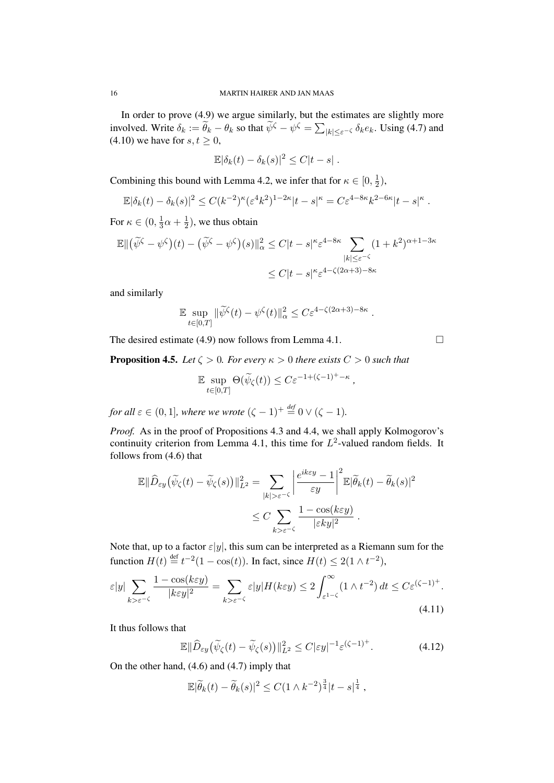In order to prove (4.9) we argue similarly, but the estimates are slightly more involved. Write  $\delta_k := \tilde{\theta}_k - \theta_k$  so that  $\tilde{\psi}^{\zeta} - \psi^{\zeta} = \sum_{|k| \leq \varepsilon^{-\zeta}} \delta_k e_k$ . Using (4.7) and (4.10) we have for  $s, t \geq 0$ ,

$$
\mathbb{E}|\delta_k(t)-\delta_k(s)|^2\leq C|t-s|.
$$

Combining this bound with Lemma 4.2, we infer that for  $\kappa \in [0, \frac{1}{2}]$  $(\frac{1}{2}),$ 

$$
\mathbb{E}|\delta_k(t)-\delta_k(s)|^2 \leq C(k^{-2})^{\kappa} (\varepsilon^4 k^2)^{1-2\kappa} |t-s|^{\kappa} = C\varepsilon^{4-8\kappa} k^{2-6\kappa} |t-s|^{\kappa}.
$$

For  $\kappa \in (0, \frac{1}{3})$  $\frac{1}{3}\alpha + \frac{1}{2}$  $(\frac{1}{2})$ , we thus obtain

$$
\mathbb{E} \| (\widetilde{\psi}^{\zeta} - \psi^{\zeta})(t) - (\widetilde{\psi}^{\zeta} - \psi^{\zeta})(s) \|_{\alpha}^{2} \le C|t - s|^{\kappa} \varepsilon^{4 - 8\kappa} \sum_{|k| \le \varepsilon^{-\zeta}} (1 + k^{2})^{\alpha + 1 - 3\kappa}
$$
  

$$
\le C|t - s|^{\kappa} \varepsilon^{4 - \zeta(2\alpha + 3) - 8\kappa}
$$

and similarly

$$
\mathbb{E} \sup_{t \in [0,T]} \|\widetilde{\psi}^{\zeta}(t) - \psi^{\zeta}(t)\|_{\alpha}^2 \leq C \varepsilon^{4-\zeta(2\alpha+3)-8\kappa}.
$$

The desired estimate (4.9) now follows from Lemma 4.1.  $\Box$ 

**Proposition 4.5.** *Let*  $\zeta > 0$ *. For every*  $\kappa > 0$  *there exists*  $C > 0$  *such that* 

$$
\mathbb{E} \sup_{t \in [0,T]} \Theta(\widetilde{\psi}_{\zeta}(t)) \leq C \varepsilon^{-1+(\zeta-1)^+ - \kappa},
$$

*for all*  $\varepsilon \in (0, 1]$ *, where we wrote*  $({\zeta} - 1)^{+} \stackrel{\text{def}}{=} 0 \vee ({\zeta} - 1)$ *.* 

*Proof.* As in the proof of Propositions 4.3 and 4.4, we shall apply Kolmogorov's continuity criterion from Lemma 4.1, this time for  $L^2$ -valued random fields. It follows from (4.6) that

$$
\mathbb{E} \|\widehat{D}_{\varepsilon y}(\widetilde{\psi}_{\zeta}(t) - \widetilde{\psi}_{\zeta}(s))\|_{L^2}^2 = \sum_{|k| > \varepsilon^{-\zeta}} \left|\frac{e^{ik\varepsilon y} - 1}{\varepsilon y}\right|^2 \mathbb{E}|\widetilde{\theta}_k(t) - \widetilde{\theta}_k(s)|^2
$$
  

$$
\leq C \sum_{k > \varepsilon^{-\zeta}} \frac{1 - \cos(k\varepsilon y)}{|\varepsilon k y|^2}.
$$

Note that, up to a factor  $\varepsilon|y|$ , this sum can be interpreted as a Riemann sum for the function  $H(t) \stackrel{\text{def}}{=} t^{-2}(1 - \cos(t))$ . In fact, since  $H(t) \leq 2(1 \wedge t^{-2})$ ,

$$
\varepsilon|y| \sum_{k>\varepsilon^{-\zeta}} \frac{1-\cos(k\varepsilon y)}{|k\varepsilon y|^2} = \sum_{k>\varepsilon^{-\zeta}} \varepsilon|y| H(k\varepsilon y) \le 2 \int_{\varepsilon^{1-\zeta}}^{\infty} (1 \wedge t^{-2}) dt \le C\varepsilon^{(\zeta-1)^{+}}.
$$
\n(4.11)

It thus follows that

$$
\mathbb{E} \|\widehat{D}_{\varepsilon y}\big(\widetilde{\psi}_{\zeta}(t) - \widetilde{\psi}_{\zeta}(s)\big)\|_{L^2}^2 \le C|\varepsilon y|^{-1} \varepsilon^{(\zeta - 1)^+}.
$$
 (4.12)

On the other hand, (4.6) and (4.7) imply that

$$
\mathbb{E}|\widetilde{\theta}_k(t)-\widetilde{\theta}_k(s)|^2 \leq C(1 \wedge k^{-2})^{\frac{3}{4}}|t-s|^{\frac{1}{4}},
$$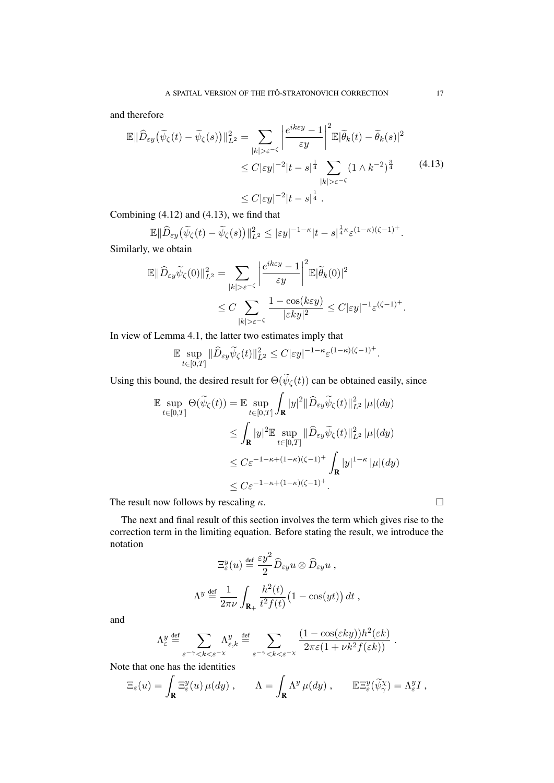and therefore

$$
\mathbb{E} \|\widehat{D}_{\varepsilon y}(\widetilde{\psi}_{\zeta}(t) - \widetilde{\psi}_{\zeta}(s))\|_{L^2}^2 = \sum_{|k| > \varepsilon^{-\zeta}} \left|\frac{e^{ik\varepsilon y} - 1}{\varepsilon y}\right|^2 \mathbb{E} |\widetilde{\theta}_k(t) - \widetilde{\theta}_k(s)|^2
$$
  

$$
\leq C |\varepsilon y|^{-2} |t - s|^{\frac{1}{4}} \sum_{|k| > \varepsilon^{-\zeta}} (1 \wedge k^{-2})^{\frac{3}{4}} \qquad (4.13)
$$
  

$$
\leq C |\varepsilon y|^{-2} |t - s|^{\frac{1}{4}}.
$$

Combining (4.12) and (4.13), we find that

$$
\mathbb{E} \|\widehat{D}_{\varepsilon y}(\widetilde{\psi}_{\zeta}(t)-\widetilde{\psi}_{\zeta}(s))\|_{L^2}^2 \leq |\varepsilon y|^{-1-\kappa}|t-s|^{\frac{1}{4}\kappa}\varepsilon^{(1-\kappa)(\zeta-1)^+}.
$$

Similarly, we obtain

$$
\mathbb{E} \|\widehat{D}_{\varepsilon y}\widetilde{\psi}_{\zeta}(0)\|_{L^2}^2 = \sum_{|k|>\varepsilon^{-\zeta}} \left|\frac{e^{ik\varepsilon y}-1}{\varepsilon y}\right|^2 \mathbb{E}|\widetilde{\theta}_k(0)|^2
$$
  

$$
\leq C \sum_{|k|>\varepsilon^{-\zeta}} \frac{1-\cos(k\varepsilon y)}{|\varepsilon ky|^2} \leq C|\varepsilon y|^{-1} \varepsilon^{(\zeta-1)^+}.
$$

In view of Lemma 4.1, the latter two estimates imply that

$$
\mathbb{E}\sup_{t\in[0,T]}\|\widehat D_{\varepsilon y}\widetilde\psi_{\zeta}(t)\|_{L^2}^2\leq C|\varepsilon y|^{-1-\kappa}\varepsilon^{(1-\kappa)(\zeta-1)^+}.
$$

Using this bound, the desired result for  $\Theta(\psi_{\zeta}(t))$  can be obtained easily, since

$$
\mathbb{E} \sup_{t \in [0,T]} \Theta(\widetilde{\psi}_{\zeta}(t)) = \mathbb{E} \sup_{t \in [0,T]} \int_{\mathbf{R}} |y|^2 \|\widehat{D}_{\varepsilon y} \widetilde{\psi}_{\zeta}(t)\|_{L^2}^2 |\mu|(dy) \n\leq \int_{\mathbf{R}} |y|^2 \mathbb{E} \sup_{t \in [0,T]} \|\widehat{D}_{\varepsilon y} \widetilde{\psi}_{\zeta}(t)\|_{L^2}^2 |\mu|(dy) \n\leq C \varepsilon^{-1-\kappa+(1-\kappa)(\zeta-1)^+} \int_{\mathbf{R}} |y|^{1-\kappa} |\mu|(dy) \n\leq C \varepsilon^{-1-\kappa+(1-\kappa)(\zeta-1)^+}.
$$

The result now follows by rescaling  $\kappa$ .

The next and final result of this section involves the term which gives rise to the correction term in the limiting equation. Before stating the result, we introduce the notation

$$
\Xi_{\varepsilon}^{y}(u) \stackrel{\text{def}}{=} \frac{\varepsilon y^{2}}{2} \widehat{D}_{\varepsilon y} u \otimes \widehat{D}_{\varepsilon y} u ,
$$

$$
\Lambda^{y} \stackrel{\text{def}}{=} \frac{1}{2\pi\nu} \int_{\mathbf{R}_{+}} \frac{h^{2}(t)}{t^{2}f(t)} \big(1 - \cos(yt)\big) dt ,
$$

and

$$
\Lambda_\varepsilon^y \stackrel{\text{def}}{=} \sum_{\varepsilon^{-\gamma} < k < \varepsilon^{-\chi}} \Lambda_{\varepsilon,k}^y \stackrel{\text{def}}{=} \sum_{\varepsilon^{-\gamma} < k < \varepsilon^{-\chi}} \frac{(1 - \cos(\varepsilon k y)) h^2(\varepsilon k)}{2 \pi \varepsilon (1 + \nu k^2 f(\varepsilon k))}.
$$

Note that one has the identities

$$
\Xi_{\varepsilon}(u) = \int_{\mathbf{R}} \Xi_{\varepsilon}^{y}(u) \,\mu(dy) , \qquad \Lambda = \int_{\mathbf{R}} \Lambda^{y} \,\mu(dy) , \qquad \mathbb{E} \Xi_{\varepsilon}^{y}(\widetilde{\psi}_{\gamma}^{x}) = \Lambda_{\varepsilon}^{y} I ,
$$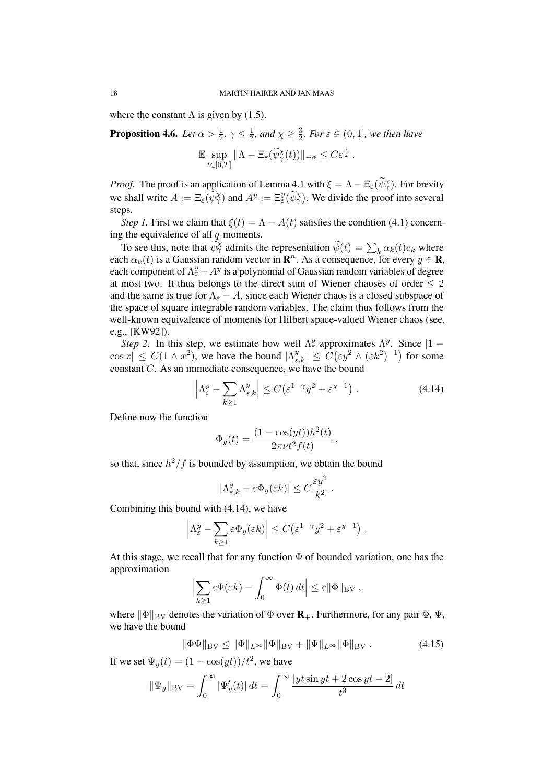where the constant  $\Lambda$  is given by (1.5).

**Proposition 4.6.** Let  $\alpha > \frac{1}{2}$ ,  $\gamma \leq \frac{1}{2}$  $\frac{1}{2}$ *, and*  $\chi \geq \frac{3}{2}$  $\frac{3}{2}$ *. For*  $\varepsilon \in (0,1]$ *, we then have* 

$$
\mathbb{E} \sup_{t \in [0,T]} \|\Lambda - \Xi_{\varepsilon}(\widetilde{\psi}_{\gamma}^{\chi}(t))\|_{-\alpha} \leq C \varepsilon^{\frac{1}{2}}.
$$

*Proof.* The proof is an application of Lemma 4.1 with  $\xi = \Lambda - \Xi_{\varepsilon}(\widetilde{\psi}_{\gamma}^{\chi})$ . For brevity we shall write  $A := \Xi_{\varepsilon}(\widetilde{\psi}_{\gamma}^{\chi})$  and  $A^y := \Xi_{\varepsilon}^y(\widetilde{\psi}_{\gamma}^{\chi})$ . We divide the proof into several steps.

*Step 1.* First we claim that  $\xi(t) = \Lambda - A(t)$  satisfies the condition (4.1) concerning the equivalence of all  $q$ -moments.

To see this, note that  $\widetilde{\psi}^{\chi}_{\gamma}$  admits the representation  $\widetilde{\psi}(t) = \sum_{k} \alpha_k(t) e_k$  where each  $\alpha_k(t)$  is a Gaussian random vector in  $\mathbf{R}^n$ . As a consequence, for every  $y \in \mathbf{R}$ , each component of  $\Lambda_{\varepsilon}^y - A^y$  is a polynomial of Gaussian random variables of degree at most two. It thus belongs to the direct sum of Wiener chaoses of order  $\leq 2$ and the same is true for  $\Lambda_{\varepsilon} - A$ , since each Wiener chaos is a closed subspace of the space of square integrable random variables. The claim thus follows from the well-known equivalence of moments for Hilbert space-valued Wiener chaos (see, e.g., [KW92]).

*Step 2*. In this step, we estimate how well  $\Lambda_{\varepsilon}^{y}$  approximates  $\Lambda^{y}$ . Since  $|1 |\cos x| \leq C(1 \wedge x^2)$ , we have the bound  $|\Lambda_{\varepsilon,k}^y| \leq C(\varepsilon y^2 \wedge (\varepsilon k^2)^{-1})$  for some constant C. As an immediate consequence, we have the bound

$$
\left|\Lambda_{\varepsilon}^{y} - \sum_{k \ge 1} \Lambda_{\varepsilon,k}^{y}\right| \le C\left(\varepsilon^{1-\gamma} y^2 + \varepsilon^{\chi-1}\right). \tag{4.14}
$$

,

Define now the function

$$
\Phi_y(t) = \frac{(1 - \cos(yt))h^2(t)}{2\pi\nu t^2 f(t)}
$$

so that, since  $h^2/f$  is bounded by assumption, we obtain the bound

$$
|\Lambda_{\varepsilon,k}^y - \varepsilon \Phi_y(\varepsilon k)| \le C \frac{\varepsilon y^2}{k^2}.
$$

Combining this bound with (4.14), we have

$$
\left|\Lambda_{\varepsilon}^{y} - \sum_{k \geq 1} \varepsilon \Phi_{y}(\varepsilon k)\right| \leq C \left(\varepsilon^{1-\gamma} y^{2} + \varepsilon^{\chi-1}\right).
$$

At this stage, we recall that for any function  $\Phi$  of bounded variation, one has the approximation

$$
\left|\sum_{k\geq 1}\varepsilon\Phi(\varepsilon k)-\int_0^\infty\Phi(t)\,dt\right|\leq \varepsilon\|\Phi\|_{\rm BV}\;,
$$

where  $\|\Phi\|_{BV}$  denotes the variation of  $\Phi$  over  $\mathbf{R}_+$ . Furthermore, for any pair  $\Phi$ ,  $\Psi$ , we have the bound

$$
\|\Phi\Psi\|_{\text{BV}} \le \|\Phi\|_{L^{\infty}} \|\Psi\|_{\text{BV}} + \|\Psi\|_{L^{\infty}} \|\Phi\|_{\text{BV}}.
$$
 (4.15)

If we set  $\Psi_y(t) = (1 - \cos(yt))/t^2$ , we have

$$
\|\Psi_y\|_{\text{BV}} = \int_0^\infty |\Psi'_y(t)| \, dt = \int_0^\infty \frac{|yt \sin yt + 2 \cos yt - 2|}{t^3} \, dt
$$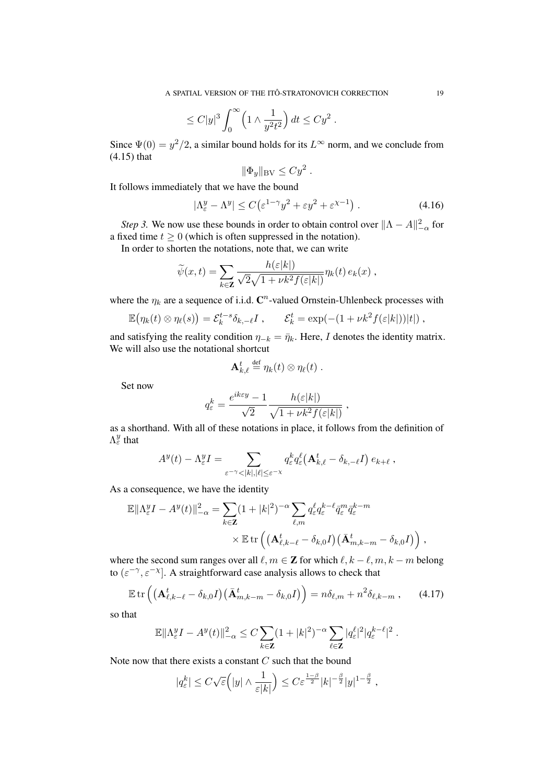$$
\leq C |y|^3 \int_0^\infty \left(1 \wedge \frac{1}{y^2 t^2}\right) dt \leq C y^2 .
$$

Since  $\Psi(0) = y^2/2$ , a similar bound holds for its  $L^{\infty}$  norm, and we conclude from (4.15) that

$$
\|\Phi_y\|_{\rm BV} \leq C y^2.
$$

It follows immediately that we have the bound

$$
|\Lambda^y_{\varepsilon} - \Lambda^y| \le C \left( \varepsilon^{1-\gamma} y^2 + \varepsilon y^2 + \varepsilon^{\chi - 1} \right). \tag{4.16}
$$

*Step 3.* We now use these bounds in order to obtain control over  $\|\Lambda - A\|_{-\alpha}^2$  for a fixed time  $t \geq 0$  (which is often suppressed in the notation).

In order to shorten the notations, note that, we can write

$$
\widetilde{\psi}(x,t) = \sum_{k \in \mathbf{Z}} \frac{h(\varepsilon|k|)}{\sqrt{2}\sqrt{1 + \nu k^2 f(\varepsilon|k|)}} \eta_k(t) e_k(x) ,
$$

where the  $\eta_k$  are a sequence of i.i.d.  $\mathbb{C}^n$ -valued Ornstein-Uhlenbeck processes with

$$
\mathbb{E}(\eta_k(t) \otimes \eta_\ell(s)) = \mathcal{E}_k^{t-s} \delta_{k,-\ell} I, \qquad \mathcal{E}_k^t = \exp(-(1 + \nu k^2 f(\varepsilon|k|))|t|),
$$

and satisfying the reality condition  $\eta_{-k} = \bar{\eta}_k$ . Here, I denotes the identity matrix. We will also use the notational shortcut

$$
\mathbf{A}_{k,\ell}^t\stackrel{\text{def}}{=}\eta_k(t)\otimes \eta_\ell(t)\ .
$$

Set now

$$
q_{\varepsilon}^k = \frac{e^{ik\varepsilon y} - 1}{\sqrt{2}} \frac{h(\varepsilon|k|)}{\sqrt{1 + \nu k^2 f(\varepsilon|k|)}},
$$

as a shorthand. With all of these notations in place, it follows from the definition of  $\Lambda_{\varepsilon}^y$  that

$$
A^y(t) - \Lambda^y_{\varepsilon} I = \sum_{\varepsilon^{-\gamma} < |k|, |\ell| \leq \varepsilon^{-\chi}} q_{\varepsilon}^k q_{\varepsilon}^\ell \big( \mathbf{A}_{k,\ell}^t - \delta_{k,-\ell} I \big) \, e_{k+\ell} \;,
$$

As a consequence, we have the identity

$$
\mathbb{E}\|\Lambda_{\varepsilon}^y I - A^y(t)\|_{-\alpha}^2 = \sum_{k\in\mathbf{Z}} (1+|k|^2)^{-\alpha} \sum_{\ell,m} q_{\varepsilon}^{\ell} q_{\varepsilon}^{k-\ell} \bar{q}_{\varepsilon}^m \bar{q}_{\varepsilon}^{k-m}
$$

$$
\times \mathbb{E} \operatorname{tr}\left( \left( \mathbf{A}_{\ell,k-\ell}^t - \delta_{k,0} I \right) \left( \bar{\mathbf{A}}_{m,k-m}^t - \delta_{k,0} I \right) \right),
$$

where the second sum ranges over all  $\ell, m \in \mathbb{Z}$  for which  $\ell, k - \ell, m, k - m$  belong to  $(\varepsilon^{-\gamma}, \varepsilon^{-\chi}]$ . A straightforward case analysis allows to check that

$$
\mathbb{E}\,\mathrm{tr}\left(\left(\mathbf{A}_{\ell,k-\ell}^t-\delta_{k,0}I\right)\left(\bar{\mathbf{A}}_{m,k-m}^t-\delta_{k,0}I\right)\right)=n\delta_{\ell,m}+n^2\delta_{\ell,k-m},\qquad(4.17)
$$

so that

$$
\mathbb{E}\|\Lambda_{\varepsilon}^y I - A^y(t)\|^2_{-\alpha} \leq C \sum_{k \in \mathbf{Z}} (1+|k|^2)^{-\alpha} \sum_{\ell \in \mathbf{Z}} |q_{\varepsilon}^{\ell}|^2 |q_{\varepsilon}^{k-\ell}|^2.
$$

Note now that there exists a constant  $C$  such that the bound

$$
|q_{\varepsilon}^k| \leq C \sqrt{\varepsilon} \Big( |y| \wedge \frac{1}{\varepsilon |k|} \Big) \leq C \varepsilon^{\frac{1-\beta}{2}} |k|^{-\frac{\beta}{2}} |y|^{1-\frac{\beta}{2}} ,
$$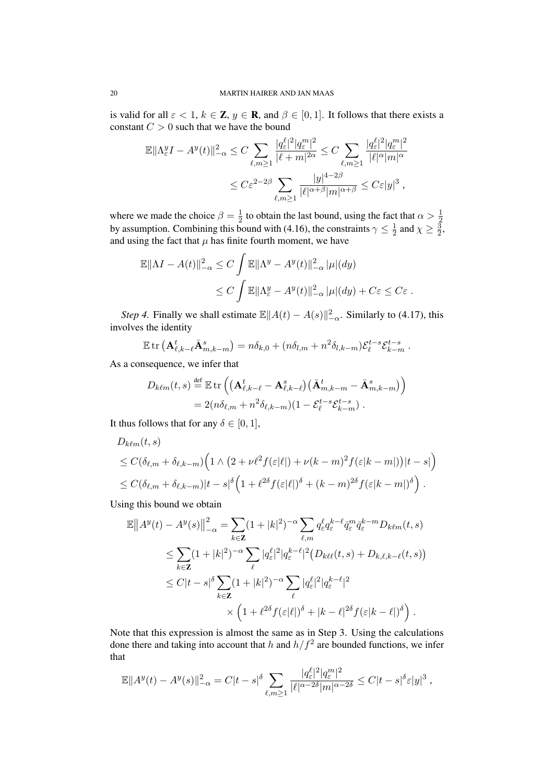is valid for all  $\varepsilon < 1$ ,  $k \in \mathbb{Z}$ ,  $y \in \mathbb{R}$ , and  $\beta \in [0, 1]$ . It follows that there exists a constant  $C > 0$  such that we have the bound

$$
\mathbb{E}\|\Lambda_{\varepsilon}^{y}I - A^{y}(t)\|_{-\alpha}^{2} \leq C \sum_{\ell,m\geq 1} \frac{|q_{\varepsilon}^{\ell}|^{2}|q_{\varepsilon}^{m}|^{2}}{|\ell+m|^{2\alpha}} \leq C \sum_{\ell,m\geq 1} \frac{|q_{\varepsilon}^{\ell}|^{2}|q_{\varepsilon}^{m}|^{2}}{|\ell|^{\alpha}|m|^{\alpha}} \leq C\varepsilon^{2-2\beta} \sum_{\ell,m\geq 1} \frac{|y|^{4-2\beta}}{|\ell|^{\alpha+\beta}|m|^{\alpha+\beta}} \leq C\varepsilon|y|^{3},
$$

where we made the choice  $\beta = \frac{1}{2}$ where we made the choice  $\beta = \frac{1}{2}$  to obtain the last bound, using the fact that  $\alpha > \frac{1}{2}$  by assumption. Combining this bound with (4.16), the constraints  $\gamma \leq \frac{1}{2}$  and  $\chi \geq \frac{3}{2}$  $\frac{1}{2}$  and  $\chi \geq \frac{3}{2}$  $\frac{3}{2}$ and using the fact that  $\mu$  has finite fourth moment, we have

$$
\mathbb{E}||\Lambda I - A(t)||_{-\alpha}^2 \le C \int \mathbb{E}||\Lambda^y - A^y(t)||_{-\alpha}^2 |\mu|(dy)
$$
  

$$
\le C \int \mathbb{E}||\Lambda^y_{\varepsilon} - A^y(t)||_{-\alpha}^2 |\mu|(dy) + C\varepsilon \le C\varepsilon.
$$

*Step 4.* Finally we shall estimate  $\mathbb{E} ||A(t) - A(s)||_{-\alpha}^2$ . Similarly to (4.17), this involves the identity

$$
\mathbb{E} \operatorname{tr} \left( \mathbf{A}_{\ell,k-\ell}^t \bar{\mathbf{A}}_{m,k-m}^s \right) = n \delta_{k,0} + (n \delta_{l,m} + n^2 \delta_{l,k-m}) \mathcal{E}_{\ell}^{t-s} \mathcal{E}_{k-m}^{t-s}.
$$

As a consequence, we infer that

$$
D_{k\ell m}(t,s) \stackrel{\text{def}}{=} \mathbb{E} \operatorname{tr} \left( \left( \mathbf{A}_{\ell,k-\ell}^t - \mathbf{A}_{\ell,k-\ell}^s \right) \left( \bar{\mathbf{A}}_{m,k-m}^t - \bar{\mathbf{A}}_{m,k-m}^s \right) \right) = 2(n\delta_{\ell,m} + n^2 \delta_{\ell,k-m})(1 - \mathcal{E}_{\ell}^{t-s} \mathcal{E}_{k-m}^{t-s}).
$$

It thus follows that for any  $\delta \in [0, 1]$ ,

$$
D_{k\ell m}(t,s)
$$
  
\n
$$
\leq C(\delta_{\ell,m} + \delta_{\ell,k-m}) \Big( 1 \wedge \big( 2 + \nu \ell^2 f(\varepsilon|\ell|) + \nu (k-m)^2 f(\varepsilon|k-m|) \big) |t-s| \Big)
$$
  
\n
$$
\leq C(\delta_{\ell,m} + \delta_{\ell,k-m}) |t-s|^\delta \Big( 1 + \ell^{2\delta} f(\varepsilon|\ell|)^\delta + (k-m)^{2\delta} f(\varepsilon|k-m|)^\delta \Big).
$$

Using this bound we obtain

$$
\mathbb{E} \left\| A^y(t) - A^y(s) \right\|_{-\alpha}^2 = \sum_{k \in \mathbf{Z}} (1 + |k|^2)^{-\alpha} \sum_{\ell,m} q_{\varepsilon}^{\ell} q_{\varepsilon}^{k-\ell} \bar{q}_{\varepsilon}^m \bar{q}_{\varepsilon}^{k-m} D_{k\ell m}(t, s)
$$
\n
$$
\leq \sum_{k \in \mathbf{Z}} (1 + |k|^2)^{-\alpha} \sum_{\ell} |q_{\varepsilon}^{\ell}|^2 |q_{\varepsilon}^{k-\ell}|^2 (D_{k\ell\ell}(t, s) + D_{k,\ell,k-\ell}(t, s))
$$
\n
$$
\leq C |t - s|^{\delta} \sum_{k \in \mathbf{Z}} (1 + |k|^2)^{-\alpha} \sum_{\ell} |q_{\varepsilon}^{\ell}|^2 |q_{\varepsilon}^{k-\ell}|^2
$$
\n
$$
\times \left(1 + \ell^{2\delta} f(\varepsilon|\ell|)^{\delta} + |k - \ell|^{2\delta} f(\varepsilon|k - \ell|)^{\delta}\right).
$$

Note that this expression is almost the same as in Step 3. Using the calculations done there and taking into account that h and  $h/f^2$  are bounded functions, we infer that

$$
\mathbb{E}||A^y(t) - A^y(s)||_{-\alpha}^2 = C|t-s|^\delta \sum_{\ell,m\geq 1} \frac{|q_\varepsilon^\ell|^2|q_\varepsilon^m|^2}{|\ell|^{\alpha-2\delta}|m|^{\alpha-2\delta}} \leq C|t-s|^\delta \varepsilon |y|^3,
$$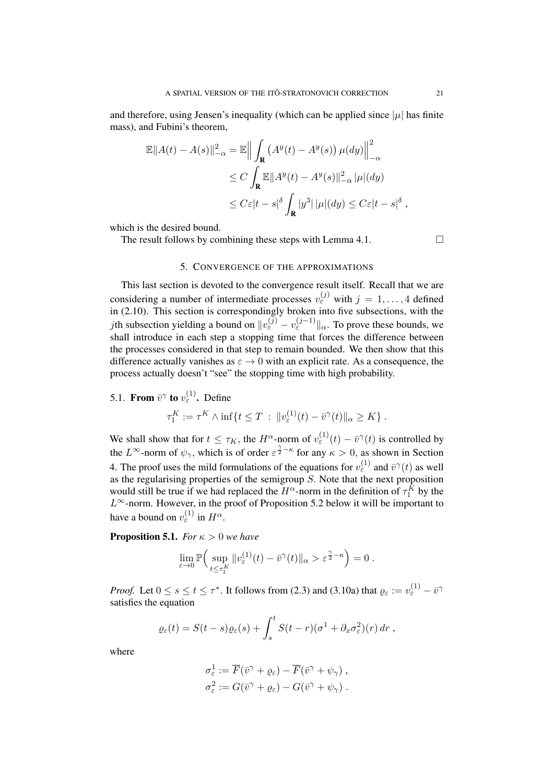and therefore, using Jensen's inequality (which can be applied since  $|\mu|$  has finite mass), and Fubini's theorem,

$$
\mathbb{E}||A(t) - A(s)||_{-\alpha}^{2} = \mathbb{E} \Big\| \int_{\mathbf{R}} (A^{y}(t) - A^{y}(s)) \,\mu(dy) \Big\|_{-\alpha}^{2}
$$
  
\n
$$
\leq C \int_{\mathbf{R}} \mathbb{E}||A^{y}(t) - A^{y}(s)||_{-\alpha}^{2} |\mu|(dy)
$$
  
\n
$$
\leq C \varepsilon |t - s| \delta \int_{\mathbf{R}} |y^{3}| |\mu|(dy) \leq C \varepsilon |t - s| \delta,
$$

which is the desired bound.

The result follows by combining these steps with Lemma 4.1.  $\Box$ 

## 5. CONVERGENCE OF THE APPROXIMATIONS

This last section is devoted to the convergence result itself. Recall that we are considering a number of intermediate processes  $v_{\varepsilon}^{(j)}$  with  $j = 1, ..., 4$  defined in (2.10). This section is correspondingly broken into five subsections, with the *j*th subsection yielding a bound on  $||v_{\varepsilon}^{(j)} - v_{\varepsilon}^{(j-1)}||_{\alpha}$ . To prove these bounds, we shall introduce in each step a stopping time that forces the difference between the processes considered in that step to remain bounded. We then show that this difference actually vanishes as  $\varepsilon \to 0$  with an explicit rate. As a consequence, the process actually doesn't "see" the stopping time with high probability.

5.1. From 
$$
\bar{v}^{\gamma}
$$
 to  $v_{\varepsilon}^{(1)}$ . Define  
\n
$$
\tau_1^K := \tau^K \wedge \inf\{t \leq T \, : \, \|v_{\varepsilon}^{(1)}(t) - \bar{v}^{\gamma}(t)\|_{\alpha} \geq K\}.
$$

We shall show that for  $t \leq \tau_K$ , the  $H^{\alpha}$ -norm of  $v_{\varepsilon}^{(1)}(t) - \bar{v}^{\gamma}(t)$  is controlled by the  $L^{\infty}$ -norm of  $\psi_{\gamma}$ , which is of order  $\varepsilon^{\frac{\gamma}{2}-\kappa}$  for any  $\kappa > 0$ , as shown in Section 4. The proof uses the mild formulations of the equations for  $v_{\varepsilon}^{(1)}$  and  $\bar{v}^{\gamma}(t)$  as well as the regularising properties of the semigroup  $S$ . Note that the next proposition would still be true if we had replaced the  $H^{\alpha}$ -norm in the definition of  $\tau_1^K$  by the  $L^{\infty}$ -norm. However, in the proof of Proposition 5.2 below it will be important to have a bound on  $v_{\varepsilon}^{(1)}$  in  $H^{\alpha}$ .

**Proposition 5.1.** *For*  $\kappa > 0$  *we have* 

$$
\lim_{\varepsilon \to 0} \mathbb{P}\Big( \sup_{t \le \tau_1^K} \|v_{\varepsilon}^{(1)}(t) - \bar{v}^{\gamma}(t)\|_{\alpha} > \varepsilon^{\frac{\gamma}{2} - \kappa} \Big) = 0.
$$

*Proof.* Let  $0 \le s \le t \le \tau^*$ . It follows from (2.3) and (3.10a) that  $\varrho_{\varepsilon} := v_{\varepsilon}^{(1)} - \bar{v}^{\gamma}$ satisfies the equation

$$
\varrho_{\varepsilon}(t) = S(t-s)\varrho_{\varepsilon}(s) + \int_{s}^{t} S(t-r)(\sigma^1 + \partial_x \sigma_{\varepsilon}^2)(r) dr,
$$

where

$$
\begin{aligned}\n\sigma_{\varepsilon}^1 &:= \overline{F}(\bar{v}^\gamma + \varrho_{\varepsilon}) - \overline{F}(\bar{v}^\gamma + \psi_\gamma) , \\
\sigma_{\varepsilon}^2 &:= G(\bar{v}^\gamma + \varrho_{\varepsilon}) - G(\bar{v}^\gamma + \psi_\gamma) .\n\end{aligned}
$$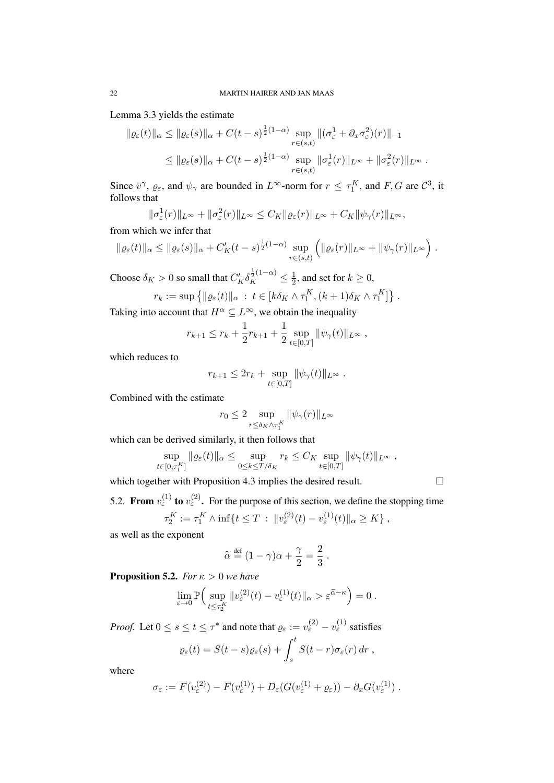Lemma 3.3 yields the estimate

$$
\| \varrho_{\varepsilon}(t) \|_{\alpha} \leq \| \varrho_{\varepsilon}(s) \|_{\alpha} + C(t-s)^{\frac{1}{2}(1-\alpha)} \sup_{r \in (s,t)} \| (\sigma_{\varepsilon}^1 + \partial_x \sigma_{\varepsilon}^2)(r) \|_{-1}
$$
  

$$
\leq \| \varrho_{\varepsilon}(s) \|_{\alpha} + C(t-s)^{\frac{1}{2}(1-\alpha)} \sup_{r \in (s,t)} \| \sigma_{\varepsilon}^1(r) \|_{L^{\infty}} + \| \sigma_{\varepsilon}^2(r) \|_{L^{\infty}}.
$$

Since  $\bar{v}^{\gamma}$ ,  $\varrho_{\varepsilon}$ , and  $\psi_{\gamma}$  are bounded in  $L^{\infty}$ -norm for  $r \leq \tau_1^{K}$ , and  $F, G$  are  $\mathcal{C}^3$ , it follows that

$$
\|\sigma_{\varepsilon}^1(r)\|_{L^{\infty}} + \|\sigma_{\varepsilon}^2(r)\|_{L^{\infty}} \leq C_K \|\varrho_{\varepsilon}(r)\|_{L^{\infty}} + C_K \|\psi_{\gamma}(r)\|_{L^{\infty}},
$$

from which we infer that

$$
\|\varrho_{\varepsilon}(t)\|_{\alpha} \le \|\varrho_{\varepsilon}(s)\|_{\alpha} + C'_{K}(t-s)^{\frac{1}{2}(1-\alpha)}\sup_{r\in(s,t)}\left(\|\varrho_{\varepsilon}(r)\|_{L^{\infty}} + \|\psi_{\gamma}(r)\|_{L^{\infty}}\right).
$$

Choose  $\delta_K > 0$  so small that  $C_K' \delta_K^{\frac{1}{2}(1-\alpha)} \leq \frac{1}{2}$  $\frac{1}{2}$ , and set for  $k \geq 0$ ,

$$
r_k := \sup \left\{ ||\varrho_{\varepsilon}(t)||_{\alpha} \, : \, t \in [k \delta_K \wedge \tau_1^K, (k+1) \delta_K \wedge \tau_1^K] \right\}.
$$

Taking into account that  $H^{\alpha} \subseteq L^{\infty}$ , we obtain the inequality

$$
r_{k+1} \le r_k + \frac{1}{2}r_{k+1} + \frac{1}{2}\sup_{t\in[0,T]} \|\psi_\gamma(t)\|_{L^\infty},
$$

which reduces to

$$
r_{k+1} \le 2r_k + \sup_{t \in [0,T]} \|\psi_{\gamma}(t)\|_{L^{\infty}}.
$$

Combined with the estimate

$$
r_0 \leq 2 \sup_{r \leq \delta_K \wedge \tau_1^K} \|\psi_\gamma(r)\|_{L^\infty}
$$

which can be derived similarly, it then follows that

$$
\sup_{t\in[0,\tau_1^K]}\|\varrho_\varepsilon(t)\|_\alpha\leq \sup_{0\leq k\leq T/\delta_K}r_k\leq C_K\sup_{t\in[0,T]}\|\psi_\gamma(t)\|_{L^\infty},
$$

which together with Proposition 4.3 implies the desired result.

5.2. From  $v_{\varepsilon}^{(1)}$  to  $v_{\varepsilon}^{(2)}$ . For the purpose of this section, we define the stopping time  $\tau_2^K := \tau_1^K \wedge \inf \{ t \le T \, : \, \|v_{\varepsilon}^{(2)}(t) - v_{\varepsilon}^{(1)}(t) \|_{\alpha} \ge K \}$ ,

as well as the exponent

$$
\widetilde{\alpha} \stackrel{\text{def}}{=} (1 - \gamma)\alpha + \frac{\gamma}{2} = \frac{2}{3} .
$$

**Proposition 5.2.** *For*  $\kappa > 0$  *we have* 

$$
\lim_{\varepsilon \to 0} \mathbb{P}\Big( \sup_{t \le \tau_2^K} \|v^{(2)}_{\varepsilon}(t) - v^{(1)}_{\varepsilon}(t) \|_{\alpha} > \varepsilon^{\widetilde{\alpha} - \kappa} \Big) = 0.
$$

*Proof.* Let  $0 \le s \le t \le \tau^*$  and note that  $\varrho_{\varepsilon} := v_{\varepsilon}^{(2)} - v_{\varepsilon}^{(1)}$  satisfies

$$
\varrho_{\varepsilon}(t) = S(t-s)\varrho_{\varepsilon}(s) + \int_{s}^{t} S(t-r)\sigma_{\varepsilon}(r) dr ,
$$

where

$$
\sigma_{\varepsilon} := \overline{F}(v_{\varepsilon}^{(2)}) - \overline{F}(v_{\varepsilon}^{(1)}) + D_{\varepsilon}(G(v_{\varepsilon}^{(1)} + \varrho_{\varepsilon})) - \partial_x G(v_{\varepsilon}^{(1)}) .
$$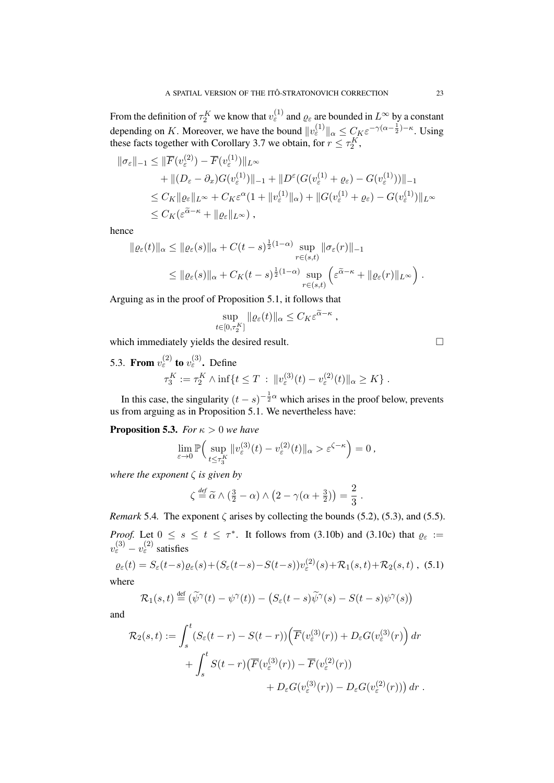From the definition of  $\tau_2^K$  we know that  $v_{\varepsilon}^{(1)}$  and  $\varrho_{\varepsilon}$  are bounded in  $L^{\infty}$  by a constant depending on K. Moreover, we have the bound  $||v_{\varepsilon}^{(1)}||_{\alpha} \leq C_K \varepsilon^{-\gamma(\alpha - \frac{1}{2}) - \kappa}$ . Using these facts together with Corollary 3.7 we obtain, for  $r \leq \tau_2^K$ ,

$$
\|\sigma_{\varepsilon}\|_{-1} \leq \|\overline{F}(v_{\varepsilon}^{(2)}) - \overline{F}(v_{\varepsilon}^{(1)})\|_{L^{\infty}} \n+ \|(D_{\varepsilon} - \partial_{x})G(v_{\varepsilon}^{(1)})\|_{-1} + \|D^{\varepsilon}(G(v_{\varepsilon}^{(1)} + \varrho_{\varepsilon}) - G(v_{\varepsilon}^{(1)}))\|_{-1} \n\leq C_{K} \|\varrho_{\varepsilon}\|_{L^{\infty}} + C_{K}\varepsilon^{\alpha}(1 + \|v_{\varepsilon}^{(1)}\|_{\alpha}) + \|G(v_{\varepsilon}^{(1)} + \varrho_{\varepsilon}) - G(v_{\varepsilon}^{(1)})\|_{L^{\infty}} \n\leq C_{K}(\varepsilon^{\widetilde{\alpha}-\kappa} + \|\varrho_{\varepsilon}\|_{L^{\infty}}),
$$

hence

$$
\|\varrho_{\varepsilon}(t)\|_{\alpha} \le \|\varrho_{\varepsilon}(s)\|_{\alpha} + C(t-s)^{\frac{1}{2}(1-\alpha)} \sup_{r \in (s,t)} \|\sigma_{\varepsilon}(r)\|_{-1}
$$
  

$$
\le \|\varrho_{\varepsilon}(s)\|_{\alpha} + C_K(t-s)^{\frac{1}{2}(1-\alpha)} \sup_{r \in (s,t)} \left( \varepsilon^{\widetilde{\alpha}-\kappa} + \|\varrho_{\varepsilon}(r)\|_{L^{\infty}} \right).
$$

Arguing as in the proof of Proposition 5.1, it follows that

$$
\sup_{t\in[0,\tau_2^K]}\|\varrho_\varepsilon(t)\|_\alpha\leq C_K\varepsilon^{\widetilde{\alpha}-\kappa}\;,
$$

which immediately vields the desired result.

5.3. From  $v_{\varepsilon}^{(2)}$  to  $v_{\varepsilon}^{(3)}$ . Define  $\tau_3^K := \tau_2^K \wedge \inf \{ t \le T \, : \, \|v_{\varepsilon}^{(3)}(t) - v_{\varepsilon}^{(2)}(t) \|_{\alpha} \ge K \} .$ 

In this case, the singularity  $(t - s)^{-\frac{1}{2}\alpha}$  which arises in the proof below, prevents us from arguing as in Proposition 5.1. We nevertheless have:

**Proposition 5.3.** *For*  $\kappa > 0$  *we have* 

$$
\lim_{\varepsilon \to 0} \mathbb{P}\Big( \sup_{t \le \tau_3^K} \|v_{\varepsilon}^{(3)}(t) - v_{\varepsilon}^{(2)}(t) \|_{\alpha} > \varepsilon^{\zeta - \kappa} \Big) = 0,
$$

*where the exponent* ζ *is given by*

$$
\zeta \stackrel{\text{def}}{=} \widetilde{\alpha} \wedge (\frac{3}{2} - \alpha) \wedge (2 - \gamma(\alpha + \frac{3}{2})) = \frac{2}{3}.
$$

*Remark* 5.4. The exponent  $\zeta$  arises by collecting the bounds (5.2), (5.3), and (5.5). *Proof.* Let  $0 \le s \le t \le \tau^*$ . It follows from (3.10b) and (3.10c) that  $\varrho_{\varepsilon}$  :=  $v_{\varepsilon}^{(3)} - v_{\varepsilon}^{(2)}$  satisfies

$$
\varrho_{\varepsilon}(t) = S_{\varepsilon}(t-s)\varrho_{\varepsilon}(s) + (S_{\varepsilon}(t-s) - S(t-s))v_{\varepsilon}^{(2)}(s) + \mathcal{R}_1(s,t) + \mathcal{R}_2(s,t) \tag{5.1}
$$

where

$$
\mathcal{R}_1(s,t) \stackrel{\text{def}}{=} (\widetilde{\psi}^{\gamma}(t) - \psi^{\gamma}(t)) - (S_{\varepsilon}(t-s)\widetilde{\psi}^{\gamma}(s) - S(t-s)\psi^{\gamma}(s))
$$

and

$$
\mathcal{R}_2(s,t) := \int_s^t (S_{\varepsilon}(t-r) - S(t-r)) \left( \overline{F}(v_{\varepsilon}^{(3)}(r)) + D_{\varepsilon} G(v_{\varepsilon}^{(3)}(r) \right) dr \n+ \int_s^t S(t-r) \left( \overline{F}(v_{\varepsilon}^{(3)}(r)) - \overline{F}(v_{\varepsilon}^{(2)}(r)) \right) \n+ D_{\varepsilon} G(v_{\varepsilon}^{(3)}(r)) - D_{\varepsilon} G(v_{\varepsilon}^{(2)}(r)) \right) dr.
$$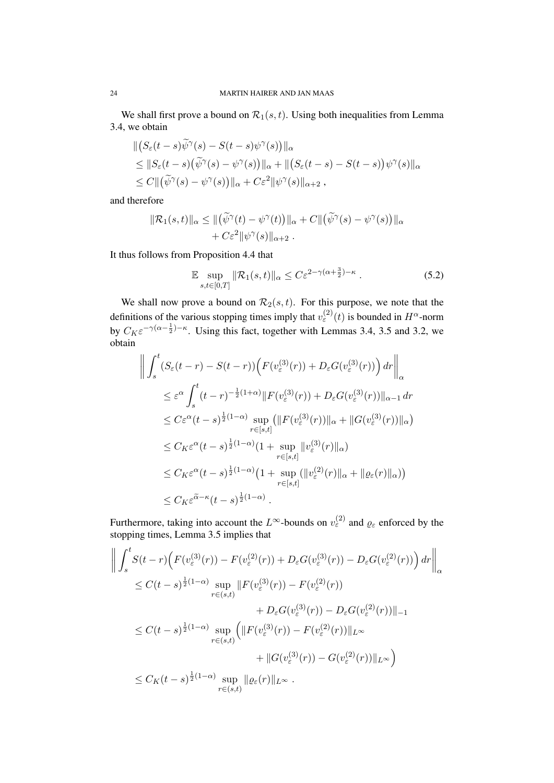We shall first prove a bound on  $\mathcal{R}_1(s, t)$ . Using both inequalities from Lemma 3.4, we obtain

$$
\begin{aligned} &\| \big( S_{\varepsilon}(t-s) \widetilde{\psi}^{\gamma}(s) - S(t-s) \psi^{\gamma}(s) \big) \|_{\alpha} \\ &\leq \| S_{\varepsilon}(t-s) \big( \widetilde{\psi}^{\gamma}(s) - \psi^{\gamma}(s) \big) \|_{\alpha} + \| \big( S_{\varepsilon}(t-s) - S(t-s) \big) \psi^{\gamma}(s) \|_{\alpha} \\ &\leq C \| \big( \widetilde{\psi}^{\gamma}(s) - \psi^{\gamma}(s) \big) \|_{\alpha} + C \varepsilon^{2} \| \psi^{\gamma}(s) \|_{\alpha+2} , \end{aligned}
$$

and therefore

$$
\|\mathcal{R}_1(s,t)\|_{\alpha} \leq \|(\widetilde{\psi}^{\gamma}(t) - \psi^{\gamma}(t))\|_{\alpha} + C\|(\widetilde{\psi}^{\gamma}(s) - \psi^{\gamma}(s))\|_{\alpha} + C\varepsilon^2 \|\psi^{\gamma}(s)\|_{\alpha+2}.
$$

It thus follows from Proposition 4.4 that

$$
\mathbb{E} \sup_{s,t \in [0,T]} \|\mathcal{R}_1(s,t)\|_{\alpha} \le C\varepsilon^{2-\gamma(\alpha+\frac{3}{2})-\kappa} . \tag{5.2}
$$

We shall now prove a bound on  $\mathcal{R}_2(s,t)$ . For this purpose, we note that the definitions of the various stopping times imply that  $v_{\varepsilon}^{(2)}(t)$  is bounded in  $H^{\alpha}$ -norm by  $C_K \varepsilon^{-\gamma(\alpha - \frac{1}{2}) - \kappa}$ . Using this fact, together with Lemmas 3.4, 3.5 and 3.2, we obtain

$$
\left\| \int_{s}^{t} (S_{\varepsilon}(t-r) - S(t-r)) \Big( F(v_{\varepsilon}^{(3)}(r)) + D_{\varepsilon}G(v_{\varepsilon}^{(3)}(r)) \Big) dr \right\|_{\alpha}
$$
  
\n
$$
\leq \varepsilon^{\alpha} \int_{s}^{t} (t-r)^{-\frac{1}{2}(1+\alpha)} \| F(v_{\varepsilon}^{(3)}(r)) + D_{\varepsilon}G(v_{\varepsilon}^{(3)}(r)) \|_{\alpha-1} dr
$$
  
\n
$$
\leq C \varepsilon^{\alpha} (t-s)^{\frac{1}{2}(1-\alpha)} \sup_{r \in [s,t]} (||F(v_{\varepsilon}^{(3)}(r))||_{\alpha} + ||G(v_{\varepsilon}^{(3)}(r))||_{\alpha})
$$
  
\n
$$
\leq C_{K} \varepsilon^{\alpha} (t-s)^{\frac{1}{2}(1-\alpha)} (1 + \sup_{r \in [s,t]} ||v_{\varepsilon}^{(3)}(r)||_{\alpha})
$$
  
\n
$$
\leq C_{K} \varepsilon^{\alpha} (t-s)^{\frac{1}{2}(1-\alpha)} (1 + \sup_{r \in [s,t]} (||v_{\varepsilon}^{(2)}(r)||_{\alpha} + ||\varrho_{\varepsilon}(r)||_{\alpha}))
$$
  
\n
$$
\leq C_{K} \varepsilon^{\alpha - \kappa} (t-s)^{\frac{1}{2}(1-\alpha)}.
$$

Furthermore, taking into account the L<sup>∞</sup>-bounds on  $v_{\varepsilon}^{(2)}$  and  $\varrho_{\varepsilon}$  enforced by the stopping times, Lemma 3.5 implies that

$$
\left\| \int_{s}^{t} S(t-r) \Big( F(v_{\varepsilon}^{(3)}(r)) - F(v_{\varepsilon}^{(2)}(r)) + D_{\varepsilon} G(v_{\varepsilon}^{(3)}(r)) - D_{\varepsilon} G(v_{\varepsilon}^{(2)}(r)) \Big) dr \right\|_{\alpha}
$$
  
\n
$$
\leq C(t-s)^{\frac{1}{2}(1-\alpha)} \sup_{r \in (s,t)} \left\| F(v_{\varepsilon}^{(3)}(r)) - F(v_{\varepsilon}^{(2)}(r)) \right\|_{\alpha}
$$
  
\n
$$
+ D_{\varepsilon} G(v_{\varepsilon}^{(3)}(r)) - D_{\varepsilon} G(v_{\varepsilon}^{(2)}(r)) \right\|_{-1}
$$
  
\n
$$
\leq C(t-s)^{\frac{1}{2}(1-\alpha)} \sup_{r \in (s,t)} \left( \left\| F(v_{\varepsilon}^{(3)}(r)) - F(v_{\varepsilon}^{(2)}(r)) \right\|_{L^{\infty}}
$$
  
\n
$$
+ \left\| G(v_{\varepsilon}^{(3)}(r)) - G(v_{\varepsilon}^{(2)}(r)) \right\|_{L^{\infty}} \right)
$$
  
\n
$$
\leq C_K(t-s)^{\frac{1}{2}(1-\alpha)} \sup_{r \in (s,t)} \|\varrho_{\varepsilon}(r)\|_{L^{\infty}}.
$$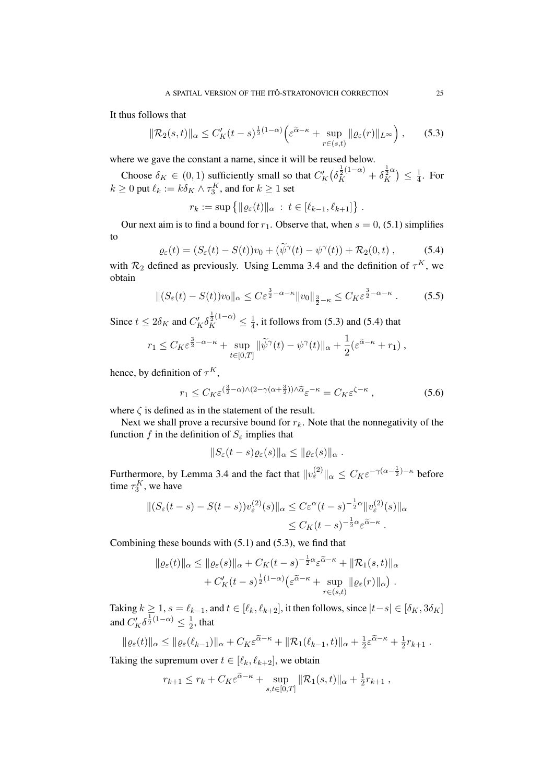It thus follows that

$$
\|\mathcal{R}_2(s,t)\|_{\alpha} \le C_K'(t-s)^{\frac{1}{2}(1-\alpha)} \Big(\varepsilon^{\widetilde{\alpha}-\kappa} + \sup_{r \in (s,t)} \|\varrho_{\varepsilon}(r)\|_{L^{\infty}}\Big),\qquad(5.3)
$$

where we gave the constant a name, since it will be reused below.

Choose  $\delta_K \in (0, 1)$  sufficiently small so that  $C_K'(\delta_K^{\frac{1}{2}(1-\alpha)} + \delta_K^{\frac{1}{2}\alpha})$  $\frac{1}{2}$ <sup>2</sup> $\alpha$ )  $\leq \frac{1}{4}$  $\frac{1}{4}$ . For  $k \geq 0$  put  $\ell_k := k \delta_K \wedge \tau_3^K$ , and for  $k \geq 1$  set

 $r_k := \sup \{ ||\varrho_{\varepsilon}(t)||_{\alpha} : t \in [\ell_{k-1}, \ell_{k+1}]\} .$ 

Our next aim is to find a bound for  $r_1$ . Observe that, when  $s = 0$ , (5.1) simplifies to

$$
\varrho_{\varepsilon}(t) = (S_{\varepsilon}(t) - S(t))v_0 + (\widetilde{\psi}^{\gamma}(t) - \psi^{\gamma}(t)) + \mathcal{R}_2(0, t), \qquad (5.4)
$$

with  $\mathcal{R}_2$  defined as previously. Using Lemma 3.4 and the definition of  $\tau^K$ , we obtain

$$
\|(S_{\varepsilon}(t) - S(t))v_0\|_{\alpha} \le C\varepsilon^{\frac{3}{2}-\alpha-\kappa} \|v_0\|_{\frac{3}{2}-\kappa} \le C_K\varepsilon^{\frac{3}{2}-\alpha-\kappa}.
$$
 (5.5)

Since  $t \le 2\delta_K$  and  $C_K' \delta_K^{\frac{1}{2}(1-\alpha)} \le \frac{1}{4}$  $\frac{1}{4}$ , it follows from (5.3) and (5.4) that

$$
r_1 \leq C_K \varepsilon^{\frac{3}{2}-\alpha-\kappa} + \sup_{t \in [0,T]} \|\widetilde{\psi}^{\gamma}(t) - \psi^{\gamma}(t)\|_{\alpha} + \frac{1}{2}(\varepsilon^{\widetilde{\alpha}-\kappa} + r_1) ,
$$

hence, by definition of  $\tau^K$ ,

$$
r_1 \le C_K \varepsilon^{\left(\frac{3}{2} - \alpha\right) \wedge \left(2 - \gamma\left(\alpha + \frac{3}{2}\right)\right) \wedge \widetilde{\alpha}} \varepsilon^{-\kappa} = C_K \varepsilon^{\zeta - \kappa} ,\tag{5.6}
$$

where  $\zeta$  is defined as in the statement of the result.

Next we shall prove a recursive bound for  $r_k$ . Note that the nonnegativity of the function f in the definition of  $S_{\varepsilon}$  implies that

$$
||S_{\varepsilon}(t-s)\varrho_{\varepsilon}(s)||_{\alpha}\leq ||\varrho_{\varepsilon}(s)||_{\alpha}.
$$

Furthermore, by Lemma 3.4 and the fact that  $||v_{\varepsilon}^{(2)}||_{\alpha} \leq C_K \varepsilon^{-\gamma(\alpha - \frac{1}{2}) - \kappa}$  before time  $\tau_3^K$ , we have

$$
\begin{aligned} \| (S_{\varepsilon}(t-s) - S(t-s)) v_{\varepsilon}^{(2)}(s) \|_{\alpha} &\leq C \varepsilon^{\alpha} (t-s)^{-\frac{1}{2}\alpha} \| v_{\varepsilon}^{(2)}(s) \|_{\alpha} \\ &\leq C_K (t-s)^{-\frac{1}{2}\alpha} \varepsilon^{\widetilde{\alpha} - \kappa} \; . \end{aligned}
$$

Combining these bounds with (5.1) and (5.3), we find that

$$
\|\varrho_{\varepsilon}(t)\|_{\alpha} \le \|\varrho_{\varepsilon}(s)\|_{\alpha} + C_{K}(t-s)^{-\frac{1}{2}\alpha} \varepsilon^{\widetilde{\alpha}-\kappa} + \|\mathcal{R}_{1}(s,t)\|_{\alpha} + C'_{K}(t-s)^{\frac{1}{2}(1-\alpha)} \big(\varepsilon^{\widetilde{\alpha}-\kappa} + \sup_{r \in (s,t)} \|\varrho_{\varepsilon}(r)\|_{\alpha}\big).
$$

Taking  $k \ge 1$ ,  $s = \ell_{k-1}$ , and  $t \in [\ell_k, \ell_{k+2}]$ , it then follows, since  $|t-s| \in [\delta_K, 3\delta_K]$ and  $C_K^{\prime} \delta^{\frac{1}{2}(1-\alpha)} \leq \frac{1}{2}$  $\frac{1}{2}$ , that

$$
\|\varrho_{\varepsilon}(t)\|_{\alpha} \le \|\varrho_{\varepsilon}(\ell_{k-1})\|_{\alpha} + C_K \varepsilon^{\widetilde{\alpha}-\kappa} + \|\mathcal{R}_1(\ell_{k-1},t)\|_{\alpha} + \frac{1}{2}\varepsilon^{\widetilde{\alpha}-\kappa} + \frac{1}{2}r_{k+1}.
$$

Taking the supremum over  $t \in [\ell_k, \ell_{k+2}]$ , we obtain

$$
r_{k+1} \le r_k + C_K \varepsilon^{\widetilde{\alpha} - \kappa} + \sup_{s,t \in [0,T]} ||\mathcal{R}_1(s,t)||_{\alpha} + \frac{1}{2}r_{k+1},
$$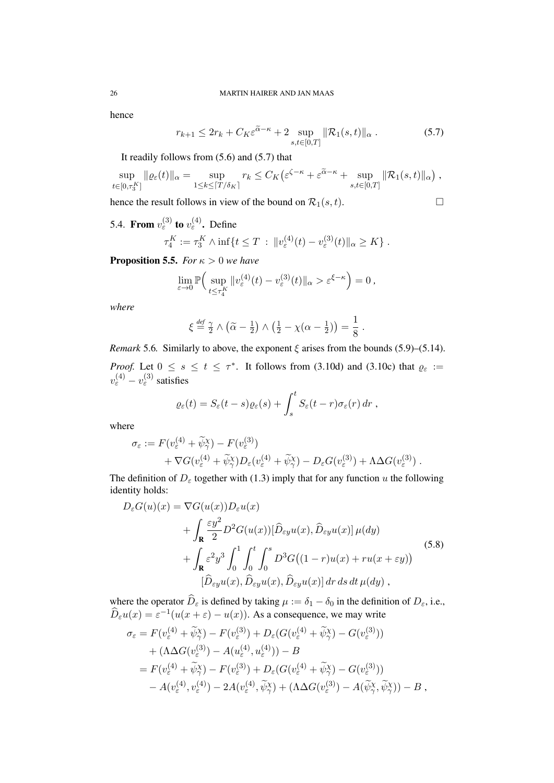hence

$$
r_{k+1} \le 2r_k + C_K \varepsilon^{\widetilde{\alpha} - \kappa} + 2 \sup_{s,t \in [0,T]} ||\mathcal{R}_1(s,t)||_{\alpha}.
$$
 (5.7)

It readily follows from (5.6) and (5.7) that

$$
\sup_{t\in[0,\tau_3^K]}\|\varrho_{\varepsilon}(t)\|_{\alpha}=\sup_{1\leq k\leq\lceil T/\delta_K\rceil}r_k\leq C_K\big(\varepsilon^{\zeta-\kappa}+\varepsilon^{\widetilde{\alpha}-\kappa}+\sup_{s,t\in[0,T]}\|\mathcal{R}_1(s,t)\|_{\alpha}\big)\;,
$$

hence the result follows in view of the bound on  $\mathcal{R}_1(s, t)$ .

$$
\overline{a}
$$

5.4. From  $v_{\varepsilon}^{(3)}$  to  $v_{\varepsilon}^{(4)}$ . Define

$$
\tau_4^K := \tau_3^K \wedge \inf \{ t \le T \, : \, \|v_{\varepsilon}^{(4)}(t) - v_{\varepsilon}^{(3)}(t)\|_{\alpha} \ge K \} .
$$

**Proposition 5.5.** *For*  $\kappa > 0$  *we have* 

$$
\lim_{\varepsilon \to 0} \mathbb{P}\Big( \sup_{t \le \tau_4^K} \|v_{\varepsilon}^{(4)}(t) - v_{\varepsilon}^{(3)}(t)\|_{\alpha} > \varepsilon^{\xi - \kappa} \Big) = 0,
$$

*where*

$$
\xi \stackrel{\text{def}}{=} \frac{\gamma}{2} \wedge (\widetilde{\alpha} - \frac{1}{2}) \wedge (\frac{1}{2} - \chi(\alpha - \frac{1}{2})) = \frac{1}{8}.
$$

*Remark* 5.6*.* Similarly to above, the exponent  $\xi$  arises from the bounds (5.9)–(5.14). *Proof.* Let  $0 \le s \le t \le \tau^*$ . It follows from (3.10d) and (3.10c) that  $\varrho_{\varepsilon}$  :=  $v_{\varepsilon}^{(4)} - v_{\varepsilon}^{(3)}$  satisfies

$$
\varrho_{\varepsilon}(t) = S_{\varepsilon}(t-s)\varrho_{\varepsilon}(s) + \int_{s}^{t} S_{\varepsilon}(t-r)\sigma_{\varepsilon}(r) dr ,
$$

where

$$
\sigma_{\varepsilon} := F(v_{\varepsilon}^{(4)} + \widetilde{\psi}_{\gamma}^{X}) - F(v_{\varepsilon}^{(3)}) + \nabla G(v_{\varepsilon}^{(4)} + \widetilde{\psi}_{\gamma}^{X}) D_{\varepsilon}(v_{\varepsilon}^{(4)} + \widetilde{\psi}_{\gamma}^{X}) - D_{\varepsilon} G(v_{\varepsilon}^{(3)}) + \Lambda \Delta G(v_{\varepsilon}^{(3)}) .
$$

The definition of  $D_{\varepsilon}$  together with (1.3) imply that for any function u the following identity holds:

$$
D_{\varepsilon}G(u)(x) = \nabla G(u(x))D_{\varepsilon}u(x)
$$
  
+ 
$$
\int_{\mathbf{R}} \frac{\varepsilon y^2}{2} D^2 G(u(x))[\hat{D}_{\varepsilon y}u(x), \hat{D}_{\varepsilon y}u(x)] \mu(dy)
$$
  
+ 
$$
\int_{\mathbf{R}} \varepsilon^2 y^3 \int_0^1 \int_0^t \int_0^s D^3 G((1-r)u(x) + ru(x+\varepsilon y))
$$
  

$$
[\hat{D}_{\varepsilon y}u(x), \hat{D}_{\varepsilon y}u(x), \hat{D}_{\varepsilon y}u(x)] dr ds dt \mu(dy),
$$
 (5.8)

where the operator  $D_{\varepsilon}$  is defined by taking  $\mu := \delta_1 - \delta_0$  in the definition of  $D_{\varepsilon}$ , i.e.,  $\widehat{D}_{\varepsilon}u(x) = \varepsilon^{-1}(u(x+\varepsilon)-u(x))$ . As a consequence, we may write

$$
\sigma_{\varepsilon} = F(v_{\varepsilon}^{(4)} + \widetilde{\psi}_{\gamma}^{X}) - F(v_{\varepsilon}^{(3)}) + D_{\varepsilon}(G(v_{\varepsilon}^{(4)} + \widetilde{\psi}_{\gamma}^{X}) - G(v_{\varepsilon}^{(3)})) \n+ (\Lambda \Delta G(v_{\varepsilon}^{(3)}) - A(u_{\varepsilon}^{(4)}, u_{\varepsilon}^{(4)})) - B \n= F(v_{\varepsilon}^{(4)} + \widetilde{\psi}_{\gamma}^{X}) - F(v_{\varepsilon}^{(3)}) + D_{\varepsilon}(G(v_{\varepsilon}^{(4)} + \widetilde{\psi}_{\gamma}^{X}) - G(v_{\varepsilon}^{(3)})) \n- A(v_{\varepsilon}^{(4)}, v_{\varepsilon}^{(4)}) - 2A(v_{\varepsilon}^{(4)}, \widetilde{\psi}_{\gamma}^{X}) + (\Lambda \Delta G(v_{\varepsilon}^{(3)}) - A(\widetilde{\psi}_{\gamma}^{X}, \widetilde{\psi}_{\gamma}^{X})) - B ,
$$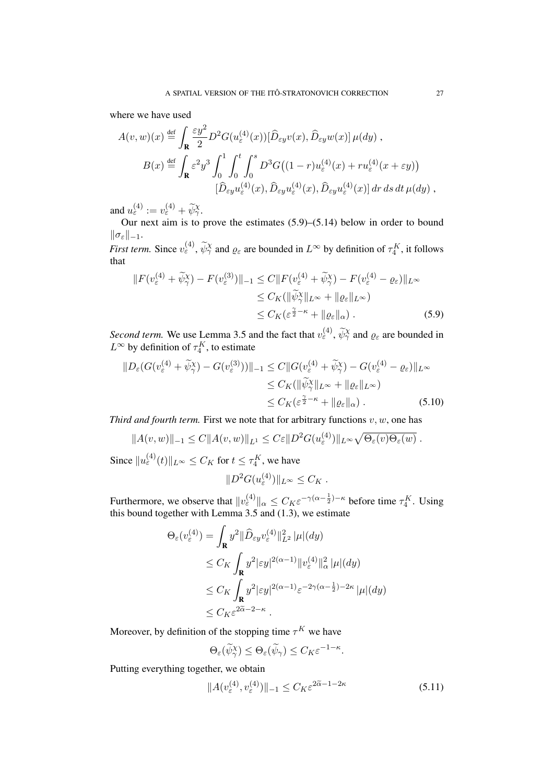where we have used

$$
A(v, w)(x) \stackrel{\text{def}}{=} \int_{\mathbf{R}} \frac{\varepsilon y^2}{2} D^2 G(u_{\varepsilon}^{(4)}(x)) [\hat{D}_{\varepsilon y} v(x), \hat{D}_{\varepsilon y} w(x)] \mu(dy),
$$
  

$$
B(x) \stackrel{\text{def}}{=} \int_{\mathbf{R}} \varepsilon^2 y^3 \int_0^1 \int_0^t \int_0^s D^3 G((1 - r) u_{\varepsilon}^{(4)}(x) + r u_{\varepsilon}^{(4)}(x + \varepsilon y))
$$
  

$$
[\hat{D}_{\varepsilon y} u_{\varepsilon}^{(4)}(x), \hat{D}_{\varepsilon y} u_{\varepsilon}^{(4)}(x), \hat{D}_{\varepsilon y} u_{\varepsilon}^{(4)}(x)] dr ds dt \mu(dy),
$$

and  $u_{\varepsilon}^{(4)} := v_{\varepsilon}^{(4)} + \widetilde{\psi}_{\gamma}^{\chi}$ .

Our next aim is to prove the estimates (5.9)–(5.14) below in order to bound  $\|\sigma_\varepsilon\|_{-1}.$ 

*First term.* Since  $v_{\varepsilon}^{(4)}$ ,  $\widetilde{\psi}_{\gamma}^{\chi}$  and  $\varrho_{\varepsilon}$  are bounded in  $L^{\infty}$  by definition of  $\tau_4^K$ , it follows that

$$
||F(v_{\varepsilon}^{(4)} + \widetilde{\psi}_{\gamma}^{X}) - F(v_{\varepsilon}^{(3)})||_{-1} \le C||F(v_{\varepsilon}^{(4)} + \widetilde{\psi}_{\gamma}^{X}) - F(v_{\varepsilon}^{(4)} - \varrho_{\varepsilon})||_{L^{\infty}}\le C_K(||\widetilde{\psi}_{\gamma}^{X}||_{L^{\infty}} + ||\varrho_{\varepsilon}||_{L^{\infty}})\le C_K(\varepsilon^{\frac{\gamma}{2} - \kappa} + ||\varrho_{\varepsilon}||_{\alpha}). \tag{5.9}
$$

*Second term.* We use Lemma 3.5 and the fact that  $v_{\varepsilon}^{(4)}$ ,  $\widetilde{\psi}_{\gamma}^{\chi}$  and  $\varrho_{\varepsilon}$  are bounded in  $L^{\infty}$  by definition of  $\tau_4^K$ , to estimate

$$
||D_{\varepsilon}(G(v_{\varepsilon}^{(4)} + \widetilde{\psi}_{\gamma}^{X}) - G(v_{\varepsilon}^{(3)}))||_{-1} \leq C||G(v_{\varepsilon}^{(4)} + \widetilde{\psi}_{\gamma}^{X}) - G(v_{\varepsilon}^{(4)} - \varrho_{\varepsilon})||_{L^{\infty}}
$$
  
\n
$$
\leq C_{K}(\|\widetilde{\psi}_{\gamma}^{X}\|_{L^{\infty}} + \|\varrho_{\varepsilon}\|_{L^{\infty}})
$$
  
\n
$$
\leq C_{K}(\varepsilon^{\frac{\gamma}{2} - \kappa} + \|\varrho_{\varepsilon}\|_{\alpha}). \tag{5.10}
$$

*Third and fourth term.* First we note that for arbitrary functions  $v, w$ , one has

$$
||A(v,w)||_{-1} \leq C||A(v,w)||_{L^1} \leq C\varepsilon||D^2G(u_{\varepsilon}^{(4)})||_{L^{\infty}}\sqrt{\Theta_{\varepsilon}(v)\Theta_{\varepsilon}(w)}.
$$

Since  $||u_{\varepsilon}^{(4)}(t)||_{L^{\infty}} \leq C_K$  for  $t \leq \tau_4^K$ , we have

$$
||D^2G(u_{\varepsilon}^{(4)})||_{L^{\infty}} \leq C_K.
$$

Furthermore, we observe that  $||v_{\varepsilon}^{(4)}||_{\alpha} \leq C_K \varepsilon^{-\gamma(\alpha - \frac{1}{2}) - \kappa}$  before time  $\tau_4^K$ . Using this bound together with Lemma 3.5 and (1.3), we estimate

$$
\Theta_{\varepsilon}(v_{\varepsilon}^{(4)}) = \int_{\mathbf{R}} y^2 \|\widehat{D}_{\varepsilon y} v_{\varepsilon}^{(4)}\|_{L^2}^2 |\mu|(dy)
$$
  
\n
$$
\leq C_K \int_{\mathbf{R}} y^2 |\varepsilon y|^{2(\alpha-1)} \|v_{\varepsilon}^{(4)}\|_{\alpha}^2 |\mu|(dy)
$$
  
\n
$$
\leq C_K \int_{\mathbf{R}} y^2 |\varepsilon y|^{2(\alpha-1)} \varepsilon^{-2\gamma(\alpha-\frac{1}{2})-2\kappa} |\mu|(dy)
$$
  
\n
$$
\leq C_K \varepsilon^{2\alpha-2-\kappa}.
$$

Moreover, by definition of the stopping time  $\tau^K$  we have

$$
\Theta_{\varepsilon}(\widetilde{\psi}_{\gamma}^{\chi}) \leq \Theta_{\varepsilon}(\widetilde{\psi}_{\gamma}) \leq C_K \varepsilon^{-1-\kappa}
$$

Putting everything together, we obtain

$$
||A(v_{\varepsilon}^{(4)}, v_{\varepsilon}^{(4)})||_{-1} \le C_K \varepsilon^{2\widetilde{\alpha} - 1 - 2\kappa}
$$
\n(5.11)

.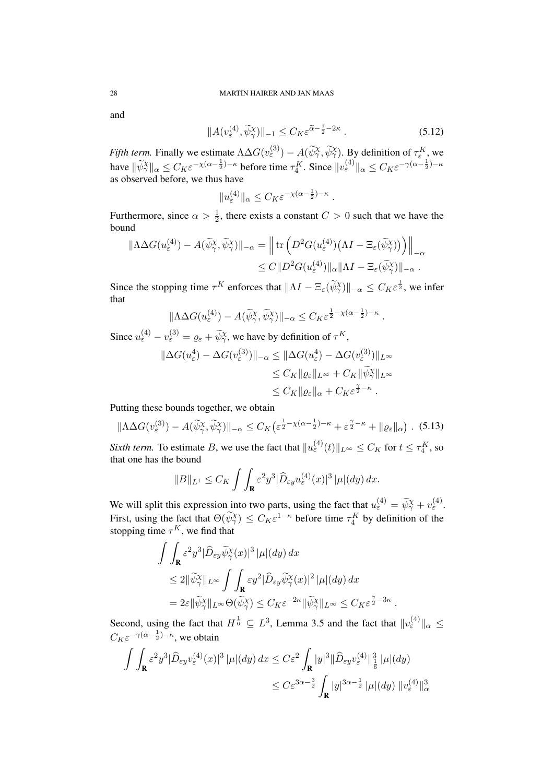and

$$
||A(v_{\varepsilon}^{(4)}, \widetilde{\psi}_{\gamma}^{(4)})||_{-1} \le C_K \varepsilon^{\widetilde{\alpha} - \frac{1}{2} - 2\kappa} . \tag{5.12}
$$

*Fifth term.* Finally we estimate  $\Lambda \Delta G(v_{\varepsilon}^{(3)}) - A(\widetilde{\psi}_{\gamma}^{\chi}, \widetilde{\psi}_{\gamma}^{\chi})$ . By definition of  $\tau_{\varepsilon}^{K}$ , we have  $\|\widetilde{\psi}_\gamma^\chi\|_\alpha \leq C_K \varepsilon^{-\chi(\alpha-\frac{1}{2})-\kappa}$  before time  $\tau_4^K$ . Since  $\|v_{\varepsilon}^{(4)}\|_\alpha \leq C_K \varepsilon^{-\gamma(\alpha-\frac{1}{2})-\kappa}$ as observed before, we thus have

$$
||u_{\varepsilon}^{(4)}||_{\alpha}\leq C_K\varepsilon^{-\chi(\alpha-\frac{1}{2})-\kappa}.
$$

Furthermore, since  $\alpha > \frac{1}{2}$ , there exists a constant  $C > 0$  such that we have the bound

$$
\|\Lambda \Delta G(u_{\varepsilon}^{(4)}) - A(\widetilde{\psi}_{\gamma}^{X}, \widetilde{\psi}_{\gamma}^{X})\|_{-\alpha} = \left\| \operatorname{tr} \left( D^{2} G(u_{\varepsilon}^{(4)}) (\Lambda I - \Xi_{\varepsilon}(\widetilde{\psi}_{\gamma}^{X})) \right) \right\|_{-\alpha} \leq C \| D^{2} G(u_{\varepsilon}^{(4)}) \|_{\alpha} \| \Lambda I - \Xi_{\varepsilon}(\widetilde{\psi}_{\gamma}^{X})\|_{-\alpha} .
$$

Since the stopping time  $\tau^K$  enforces that  $||\Lambda I - \Xi_{\varepsilon}(\widetilde{\psi}_\gamma^{\chi})||_{-\alpha} \leq C_K \varepsilon^{\frac{1}{2}}$ , we infer that

$$
\|\Lambda \Delta G(u_{\varepsilon}^{(4)}) - A(\widetilde{\psi}_{\gamma}^{X}, \widetilde{\psi}_{\gamma}^{X})\|_{-\alpha} \leq C_{K} \varepsilon^{\frac{1}{2} - \chi(\alpha - \frac{1}{2}) - \kappa}.
$$

Since  $u_{\varepsilon}^{(4)} - v_{\varepsilon}^{(3)} = \varrho_{\varepsilon} + \widetilde{\psi}_{\gamma}^{\chi}$ , we have by definition of  $\tau^{K}$ ,

$$
\|\Delta G(u_{\varepsilon}^{4}) - \Delta G(v_{\varepsilon}^{(3)})\|_{-\alpha} \leq \|\Delta G(u_{\varepsilon}^{4}) - \Delta G(v_{\varepsilon}^{(3)})\|_{L^{\infty}}
$$
  

$$
\leq C_{K} \|\varrho_{\varepsilon}\|_{L^{\infty}} + C_{K} \|\widetilde{\psi}_{\gamma}^{X}\|_{L^{\infty}}
$$
  

$$
\leq C_{K} \|\varrho_{\varepsilon}\|_{\alpha} + C_{K} \varepsilon^{\frac{\gamma}{2} - \kappa}.
$$

Putting these bounds together, we obtain

$$
\|\Lambda \Delta G(v_{\varepsilon}^{(3)}) - A(\widetilde{\psi}_{\gamma}^{X}, \widetilde{\psi}_{\gamma}^{X})\|_{-\alpha} \le C_{K} \left(\varepsilon^{\frac{1}{2} - \chi(\alpha - \frac{1}{2}) - \kappa} + \varepsilon^{\frac{\gamma}{2} - \kappa} + \|\varrho_{\varepsilon}\|_{\alpha}\right). \tag{5.13}
$$

*Sixth term.* To estimate B, we use the fact that  $||u_{\varepsilon}^{(4)}(t)||_{L^{\infty}} \leq C_K$  for  $t \leq \tau_4^K$ , so that one has the bound

$$
||B||_{L^1} \leq C_K \int \int_{\mathbf{R}} \varepsilon^2 y^3 |\widehat{D}_{\varepsilon y} u_{\varepsilon}^{(4)}(x)|^3 |\mu|(dy) dx.
$$

We will split this expression into two parts, using the fact that  $u_{\varepsilon}^{(4)} = \tilde{\psi}_{\gamma}^{\chi} + v_{\varepsilon}^{(4)}$ . First, using the fact that  $\Theta(\widetilde{\psi}_\gamma^{\chi}) \leq C_K \varepsilon^{1-\kappa}$  before time  $\tau_4^K$  by definition of the stopping time  $\tau^K$ , we find that

$$
\int \int_{\mathbf{R}} \varepsilon^2 y^3 |\widehat{D}_{\varepsilon y} \widetilde{\psi}_{\gamma}^{\chi}(x)|^3 |\mu| (dy) dx
$$
  
\n
$$
\leq 2 \|\widetilde{\psi}_{\gamma}^{\chi}\|_{L^{\infty}} \int \int_{\mathbf{R}} \varepsilon y^2 |\widehat{D}_{\varepsilon y} \widetilde{\psi}_{\gamma}^{\chi}(x)|^2 |\mu| (dy) dx
$$
  
\n
$$
= 2\varepsilon \|\widetilde{\psi}_{\gamma}^{\chi}\|_{L^{\infty}} \Theta(\widetilde{\psi}_{\gamma}^{\chi}) \leq C_K \varepsilon^{-2\kappa} \|\widetilde{\psi}_{\gamma}^{\chi}\|_{L^{\infty}} \leq C_K \varepsilon^{\frac{\gamma}{2} - 3\kappa}
$$

Second, using the fact that  $H^{\frac{1}{6}} \subseteq L^3$ , Lemma 3.5 and the fact that  $||v_{\varepsilon}^{(4)}||_{\alpha} \le$  $C_K \varepsilon^{-\gamma(\alpha - \frac{1}{2}) - \kappa}$ , we obtain

.

$$
\int \int_{\mathbf{R}} \varepsilon^2 y^3 |\widehat{D}_{\varepsilon y} v_{\varepsilon}^{(4)}(x)|^3 |\mu| (dy) dx \leq C \varepsilon^2 \int_{\mathbf{R}} |y|^3 ||\widehat{D}_{\varepsilon y} v_{\varepsilon}^{(4)}||_{\frac{1}{6}}^3 |\mu| (dy)
$$
  

$$
\leq C \varepsilon^{3\alpha - \frac{3}{2}} \int_{\mathbf{R}} |y|^{3\alpha - \frac{1}{2}} |\mu| (dy) ||v_{\varepsilon}^{(4)}||_{\alpha}^3
$$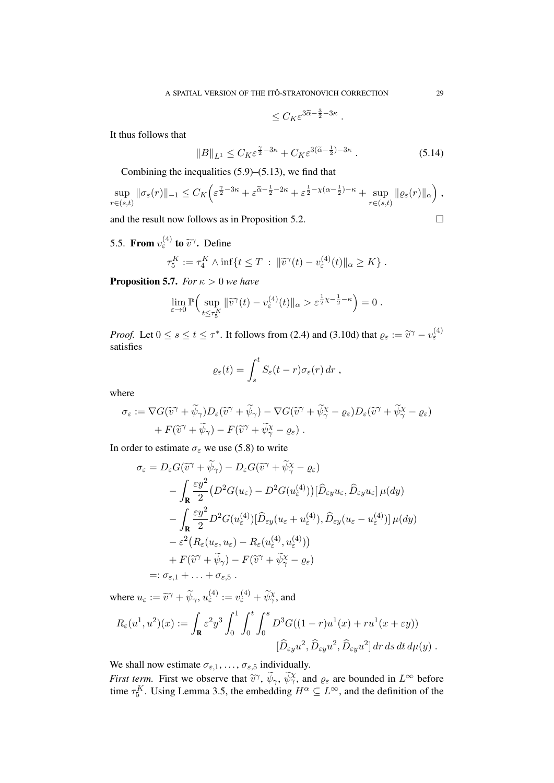$$
\leq C_K \varepsilon^{3\widetilde{\alpha} - \frac{3}{2} - 3\kappa} \; .
$$

It thus follows that

$$
||B||_{L^1} \le C_K \varepsilon^{\frac{\gamma}{2} - 3\kappa} + C_K \varepsilon^{3(\tilde{\alpha} - \frac{1}{2}) - 3\kappa} . \tag{5.14}
$$

Combining the inequalities  $(5.9)$ – $(5.13)$ , we find that

$$
\sup_{r\in(s,t)}\|\sigma_{\varepsilon}(r)\|_{-1}\leq C_K\left(\varepsilon^{\frac{\gamma}{2}-3\kappa}+\varepsilon^{\frac{\gamma}{\alpha}-\frac{1}{2}-2\kappa}+\varepsilon^{\frac{1}{2}-\chi(\alpha-\frac{1}{2})-\kappa}+\sup_{r\in(s,t)}\|\varrho_{\varepsilon}(r)\|_{\alpha}\right),
$$

and the result now follows as in Proposition 5.2.  $\Box$ 

5.5. From  $v_{\varepsilon}^{(4)}$  to  $\tilde{v}^{\gamma}$ . Define

$$
\tau_5^K := \tau_4^K \wedge \inf\{t \leq T \,:\, \|\widetilde{v}^\gamma(t) - v_\varepsilon^{(4)}(t)\|_\alpha \geq K\}.
$$

**Proposition 5.7.** *For*  $\kappa > 0$  *we have* 

$$
\lim_{\varepsilon \to 0} \mathbb{P}\Big( \sup_{t \le \tau_{5}^{K}} \| \widetilde{v}^{\gamma}(t) - v_{\varepsilon}^{(4)}(t) \|_{\alpha} > \varepsilon^{\frac{1}{2}\chi - \frac{1}{2} - \kappa} \Big) = 0.
$$

*Proof.* Let  $0 \le s \le t \le \tau^*$ . It follows from (2.4) and (3.10d) that  $\varrho_{\varepsilon} := \tilde{v}^{\gamma} - v_{\varepsilon}^{(4)}$ satisfies

$$
\varrho_{\varepsilon}(t) = \int_s^t S_{\varepsilon}(t-r)\sigma_{\varepsilon}(r) dr ,
$$

where

$$
\sigma_{\varepsilon} := \nabla G(\widetilde{v}^{\gamma} + \widetilde{\psi}_{\gamma}) D_{\varepsilon}(\widetilde{v}^{\gamma} + \widetilde{\psi}_{\gamma}) - \nabla G(\widetilde{v}^{\gamma} + \widetilde{\psi}_{\gamma}^{\chi} - \varrho_{\varepsilon}) D_{\varepsilon}(\widetilde{v}^{\gamma} + \widetilde{\psi}_{\gamma}^{\chi} - \varrho_{\varepsilon}) + F(\widetilde{v}^{\gamma} + \widetilde{\psi}_{\gamma}) - F(\widetilde{v}^{\gamma} + \widetilde{\psi}_{\gamma}^{\chi} - \varrho_{\varepsilon}).
$$

In order to estimate  $\sigma_{\varepsilon}$  we use (5.8) to write

$$
\sigma_{\varepsilon} = D_{\varepsilon} G(\widetilde{v}^{\gamma} + \widetilde{\psi}_{\gamma}) - D_{\varepsilon} G(\widetilde{v}^{\gamma} + \widetilde{\psi}_{\gamma}^{\chi} - \varrho_{\varepsilon})
$$
  
\n
$$
- \int_{\mathbf{R}} \frac{\varepsilon y^2}{2} (D^2 G(u_{\varepsilon}) - D^2 G(u_{\varepsilon}^{(4)})) [\widehat{D}_{\varepsilon y} u_{\varepsilon}, \widehat{D}_{\varepsilon y} u_{\varepsilon}] \mu(dy)
$$
  
\n
$$
- \int_{\mathbf{R}} \frac{\varepsilon y^2}{2} D^2 G(u_{\varepsilon}^{(4)}) [\widehat{D}_{\varepsilon y} (u_{\varepsilon} + u_{\varepsilon}^{(4)}), \widehat{D}_{\varepsilon y} (u_{\varepsilon} - u_{\varepsilon}^{(4)})] \mu(dy)
$$
  
\n
$$
- \varepsilon^2 (R_{\varepsilon}(u_{\varepsilon}, u_{\varepsilon}) - R_{\varepsilon}(u_{\varepsilon}^{(4)}, u_{\varepsilon}^{(4)}))
$$
  
\n
$$
+ F(\widetilde{v}^{\gamma} + \widetilde{\psi}_{\gamma}) - F(\widetilde{v}^{\gamma} + \widetilde{\psi}_{\gamma}^{\chi} - \varrho_{\varepsilon})
$$
  
\n
$$
=: \sigma_{\varepsilon,1} + \ldots + \sigma_{\varepsilon,5}.
$$

where  $u_{\varepsilon} := \tilde{v}^{\gamma} + \tilde{\psi}_{\gamma}, u_{\varepsilon}^{(4)} := v_{\varepsilon}^{(4)} + \tilde{\psi}_{\gamma}^{\chi}$ , and

$$
R_{\varepsilon}(u^1, u^2)(x) := \int_{\mathbf{R}} \varepsilon^2 y^3 \int_0^1 \int_0^t \int_0^s D^3 G((1-r)u^1(x) + ru^1(x+\varepsilon y))
$$
  

$$
[\widehat{D}_{\varepsilon y} u^2, \widehat{D}_{\varepsilon y} u^2, \widehat{D}_{\varepsilon y} u^2] dr ds dt d\mu(y).
$$

We shall now estimate  $\sigma_{\varepsilon,1}, \ldots, \sigma_{\varepsilon,5}$  individually.

*First term.* First we observe that  $\tilde{v}^{\gamma}$ ,  $\tilde{\psi}_{\gamma}$ ,  $\tilde{\psi}_{\gamma}^{\chi}$ , and  $\varrho_{\varepsilon}$  are bounded in  $L^{\infty}$  before time  $\tau^K$ . Using Lemma 3.5, the embodding  $H^{\alpha} \subset L^{\infty}$  and the definition of the time  $\tau_5^K$ . Using Lemma 3.5, the embedding  $H^{\alpha} \subseteq L^{\infty}$ , and the definition of the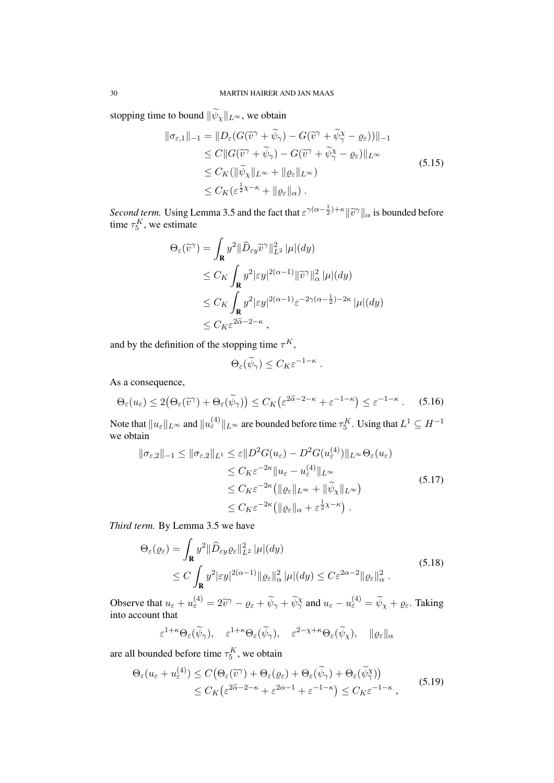stopping time to bound  $\|\widetilde{\psi}_x\|_{L^\infty}$ , we obtain

$$
\|\sigma_{\varepsilon,1}\|_{-1} = \|D_{\varepsilon}(G(\widetilde{v}^{\gamma} + \widetilde{\psi}_{\gamma}) - G(\widetilde{v}^{\gamma} + \widetilde{\psi}_{\gamma}^{\chi} - \varrho_{\varepsilon}))\|_{-1} \n\leq C \|G(\widetilde{v}^{\gamma} + \widetilde{\psi}_{\gamma}) - G(\widetilde{v}^{\gamma} + \widetilde{\psi}_{\gamma}^{\chi} - \varrho_{\varepsilon})\|_{L^{\infty}} \n\leq C_K (\|\widetilde{\psi}_{\chi}\|_{L^{\infty}} + \|\varrho_{\varepsilon}\|_{L^{\infty}}) \n\leq C_K (\varepsilon^{\frac{1}{2}\chi - \kappa} + \|\varrho_{\varepsilon}\|_{\alpha}).
$$
\n(5.15)

*Second term.* Using Lemma 3.5 and the fact that  $\epsilon^{\gamma(\alpha - \frac{1}{2}) + \kappa} ||\tilde{v}^{\gamma}||_{\alpha}$  is bounded before time  $\tau^K$ , we estimate time  $\tau_5^K$ , we estimate

$$
\Theta_{\varepsilon}(\widetilde{v}^{\gamma}) = \int_{\mathbf{R}} y^2 \|\widehat{D}_{\varepsilon y} \widetilde{v}^{\gamma}\|_{L^2}^2 |\mu|(dy) \n\leq C_K \int_{\mathbf{R}} y^2 |\varepsilon y|^{2(\alpha - 1)} \|\widetilde{v}^{\gamma}\|_{\alpha}^2 |\mu|(dy) \n\leq C_K \int_{\mathbf{R}} y^2 |\varepsilon y|^{2(\alpha - 1)} \varepsilon^{-2\gamma(\alpha - \frac{1}{2}) - 2\kappa} |\mu|(dy) \n\leq C_K \varepsilon^{2\widetilde{\alpha} - 2 - \kappa},
$$

and by the definition of the stopping time  $\tau^K$ ,

$$
\Theta_{\varepsilon}(\widetilde{\psi}_{\gamma}) \leq C_K \varepsilon^{-1-\kappa} .
$$

As a consequence,

$$
\Theta_{\varepsilon}(u_{\varepsilon}) \le 2(\Theta_{\varepsilon}(\widetilde{v}^{\gamma}) + \Theta_{\varepsilon}(\widetilde{\psi}_{\gamma})) \le C_K\left(\varepsilon^{2\widetilde{\alpha}-2-\kappa} + \varepsilon^{-1-\kappa}\right) \le \varepsilon^{-1-\kappa} \ . \tag{5.16}
$$

Note that  $\|u_\varepsilon\|_{L^\infty}$  and  $\|u_\varepsilon^{(4)}\|_{L^\infty}$  are bounded before time  $\tau^K_5$ . Using that  $L^1\subseteq H^{-1}$ we obtain

$$
\|\sigma_{\varepsilon,2}\|_{-1} \le \|\sigma_{\varepsilon,2}\|_{L^{1}} \le \varepsilon \|D^{2}G(u_{\varepsilon}) - D^{2}G(u_{\varepsilon}^{(4)})\|_{L^{\infty}} \Theta_{\varepsilon}(u_{\varepsilon})
$$
  
\n
$$
\le C_{K}\varepsilon^{-2\kappa} \|u_{\varepsilon} - u_{\varepsilon}^{(4)}\|_{L^{\infty}}
$$
  
\n
$$
\le C_{K}\varepsilon^{-2\kappa} (\|\varrho_{\varepsilon}\|_{L^{\infty}} + \|\widetilde{\psi}_{\chi}\|_{L^{\infty}})
$$
  
\n
$$
\le C_{K}\varepsilon^{-2\kappa} (\|\varrho_{\varepsilon}\|_{\alpha} + \varepsilon^{\frac{1}{2}\chi - \kappa}).
$$
\n(5.17)

*Third term.* By Lemma 3.5 we have

$$
\Theta_{\varepsilon}(\varrho_{\varepsilon}) = \int_{\mathbf{R}} y^2 \|\widehat{D}_{\varepsilon y} \varrho_{\varepsilon}\|_{L^2}^2 |\mu|(dy)
$$
\n
$$
\leq C \int_{\mathbf{R}} y^2 |\varepsilon y|^{2(\alpha - 1)} \|\varrho_{\varepsilon}\|_{\alpha}^2 |\mu|(dy) \leq C \varepsilon^{2\alpha - 2} \|\varrho_{\varepsilon}\|_{\alpha}^2 .
$$
\n(5.18)

Observe that  $u_{\varepsilon} + u_{\varepsilon}^{(4)} = 2\tilde{v}^{\gamma} - \varrho_{\varepsilon} + \tilde{\psi}_{\gamma} + \tilde{\psi}_{\gamma}^{\chi}$  and  $u_{\varepsilon} - u_{\varepsilon}^{(4)} = \tilde{\psi}_{\chi} + \varrho_{\varepsilon}$ . Taking into account that

$$
\varepsilon^{1+\kappa} \Theta_{\varepsilon}(\widetilde{\psi}_{\gamma}), \quad \varepsilon^{1+\kappa} \Theta_{\varepsilon}(\widetilde{\psi}_{\gamma}), \quad \varepsilon^{2-\chi+\kappa} \Theta_{\varepsilon}(\widetilde{\psi}_{\chi}), \quad \|\varrho_{\varepsilon}\|_{\alpha}
$$

are all bounded before time  $\tau_5^K$ , we obtain

$$
\Theta_{\varepsilon}(u_{\varepsilon} + u_{\varepsilon}^{(4)}) \le C\big(\Theta_{\varepsilon}(\widetilde{v}^{\gamma}) + \Theta_{\varepsilon}(\varrho_{\varepsilon}) + \Theta_{\varepsilon}(\widetilde{\psi}_{\gamma}) + \Theta_{\varepsilon}(\widetilde{\psi}_{\gamma}^{\chi})\big) \le C_K\big(\varepsilon^{2\widetilde{\alpha}-2-\kappa} + \varepsilon^{2\alpha-1} + \varepsilon^{-1-\kappa}\big) \le C_K\varepsilon^{-1-\kappa},
$$
\n(5.19)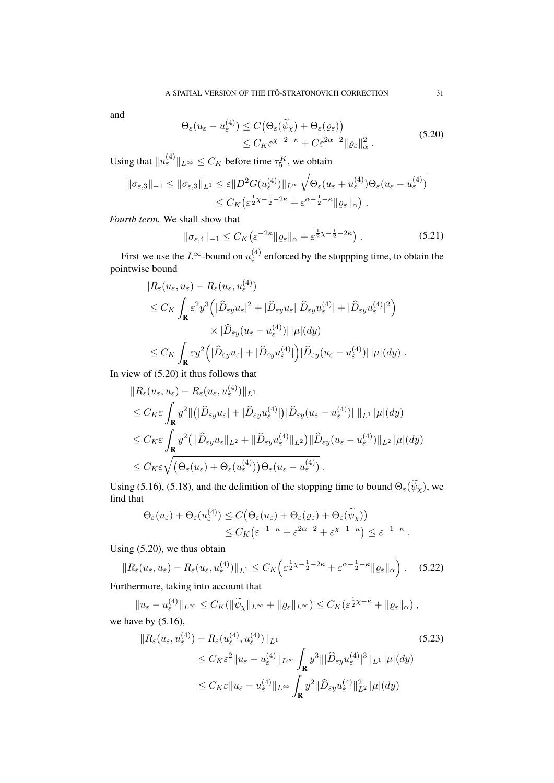and

$$
\Theta_{\varepsilon}(u_{\varepsilon} - u_{\varepsilon}^{(4)}) \le C \big( \Theta_{\varepsilon}(\widetilde{\psi}_{\chi}) + \Theta_{\varepsilon}(\varrho_{\varepsilon}) \big) \n\le C_K \varepsilon^{\chi - 2 - \kappa} + C \varepsilon^{2\alpha - 2} \| \varrho_{\varepsilon} \|_{\alpha}^2.
$$
\n(5.20)

Using that  $||u_{\varepsilon}^{(4)}||_{L^{\infty}} \leq C_K$  before time  $\tau_5^K$ , we obtain

$$
\begin{split} \|\sigma_{\varepsilon,3}\|_{-1} &\leq \|\sigma_{\varepsilon,3}\|_{L^{1}} \leq \varepsilon \|D^{2}G(u_{\varepsilon}^{(4)})\|_{L^{\infty}}\sqrt{\Theta_{\varepsilon}(u_{\varepsilon}+u_{\varepsilon}^{(4)})\Theta_{\varepsilon}(u_{\varepsilon}-u_{\varepsilon}^{(4)})} \\ &\leq C_{K}\left(\varepsilon^{\frac{1}{2}\chi-\frac{1}{2}-2\kappa}+\varepsilon^{\alpha-\frac{1}{2}-\kappa}\|\varrho_{\varepsilon}\|_{\alpha}\right). \end{split}
$$

*Fourth term.* We shall show that

$$
\|\sigma_{\varepsilon,4}\|_{-1} \le C_K \left(\varepsilon^{-2\kappa} \|\varrho_{\varepsilon}\|_{\alpha} + \varepsilon^{\frac{1}{2}\chi - \frac{1}{2} - 2\kappa}\right). \tag{5.21}
$$

First we use the  $L^{\infty}$ -bound on  $u_{\varepsilon}^{(4)}$  enforced by the stoppping time, to obtain the pointwise bound

$$
|R_{\varepsilon}(u_{\varepsilon}, u_{\varepsilon}) - R_{\varepsilon}(u_{\varepsilon}, u_{\varepsilon}^{(4)})|
$$
  
\n
$$
\leq C_K \int_{\mathbf{R}} \varepsilon^2 y^3 \Big( |\widehat{D}_{\varepsilon y} u_{\varepsilon}|^2 + |\widehat{D}_{\varepsilon y} u_{\varepsilon}| |\widehat{D}_{\varepsilon y} u_{\varepsilon}^{(4)}| + |\widehat{D}_{\varepsilon y} u_{\varepsilon}^{(4)}|^2 \Big)
$$
  
\n
$$
\times |\widehat{D}_{\varepsilon y}(u_{\varepsilon} - u_{\varepsilon}^{(4)})| |\mu|(dy)
$$
  
\n
$$
\leq C_K \int_{\mathbf{R}} \varepsilon y^2 \Big( |\widehat{D}_{\varepsilon y} u_{\varepsilon}| + |\widehat{D}_{\varepsilon y} u_{\varepsilon}^{(4)}| \Big) |\widehat{D}_{\varepsilon y}(u_{\varepsilon} - u_{\varepsilon}^{(4)})| |\mu|(dy) .
$$

In view of (5.20) it thus follows that

$$
\|R_{\varepsilon}(u_{\varepsilon}, u_{\varepsilon}) - R_{\varepsilon}(u_{\varepsilon}, u_{\varepsilon}^{(4)})\|_{L^{1}}\n\leq C_{K}\varepsilon \int_{\mathbf{R}} y^{2} \|(|\widehat{D}_{\varepsilon y} u_{\varepsilon}| + |\widehat{D}_{\varepsilon y} u_{\varepsilon}^{(4)}|) |\widehat{D}_{\varepsilon y}(u_{\varepsilon} - u_{\varepsilon}^{(4)})| \|_{L^{1}} |\mu|(dy)\n\leq C_{K}\varepsilon \int_{\mathbf{R}} y^{2} (\|\widehat{D}_{\varepsilon y} u_{\varepsilon}\|_{L^{2}} + \|\widehat{D}_{\varepsilon y} u_{\varepsilon}^{(4)}\|_{L^{2}}) \|\widehat{D}_{\varepsilon y}(u_{\varepsilon} - u_{\varepsilon}^{(4)})\|_{L^{2}} |\mu|(dy)\n\leq C_{K}\varepsilon \sqrt{(\Theta_{\varepsilon}(u_{\varepsilon}) + \Theta_{\varepsilon}(u_{\varepsilon}^{(4)})) \Theta_{\varepsilon}(u_{\varepsilon} - u_{\varepsilon}^{(4)})}.
$$

Using (5.16), (5.18), and the definition of the stopping time to bound  $\Theta_{\varepsilon}(\widetilde{\psi}_{\chi})$ , we find that

$$
\Theta_{\varepsilon}(u_{\varepsilon}) + \Theta_{\varepsilon}(u_{\varepsilon}^{(4)}) \le C \big( \Theta_{\varepsilon}(u_{\varepsilon}) + \Theta_{\varepsilon}(\varrho_{\varepsilon}) + \Theta_{\varepsilon}(\widetilde{\psi}_{\chi}) \big) \le C_K \big( \varepsilon^{-1-\kappa} + \varepsilon^{2\alpha-2} + \varepsilon^{\chi-1-\kappa} \big) \le \varepsilon^{-1-\kappa}
$$

Using (5.20), we thus obtain

$$
||R_{\varepsilon}(u_{\varepsilon}, u_{\varepsilon}) - R_{\varepsilon}(u_{\varepsilon}, u_{\varepsilon}^{(4)})||_{L^{1}} \leq C_{K} \left( \varepsilon^{\frac{1}{2}\chi - \frac{1}{2} - 2\kappa} + \varepsilon^{\alpha - \frac{1}{2} - \kappa} ||\varrho_{\varepsilon}||_{\alpha} \right). \quad (5.22)
$$

Furthermore, taking into account that

 $||u_{\varepsilon} - u_{\varepsilon}^{(4)}||_{L^{\infty}} \leq C_K(||\widetilde{\psi}_{\chi}||_{L^{\infty}} + ||\varrho_{\varepsilon}||_{L^{\infty}}) \leq C_K(\varepsilon^{\frac{1}{2}\chi - \kappa} + ||\varrho_{\varepsilon}||_{\alpha}),$ we have by  $(5.16)$ ,

$$
\|R_{\varepsilon}(u_{\varepsilon}, u_{\varepsilon}^{(4)}) - R_{\varepsilon}(u_{\varepsilon}^{(4)}, u_{\varepsilon}^{(4)})\|_{L^{1}}
$$
\n
$$
\leq C_{K}\varepsilon^{2} \|u_{\varepsilon} - u_{\varepsilon}^{(4)}\|_{L^{\infty}} \int_{\mathbf{R}} y^{3} \||\widehat{D}_{\varepsilon y} u_{\varepsilon}^{(4)}|^{3} \|_{L^{1}} |\mu|(dy)
$$
\n
$$
\leq C_{K}\varepsilon \|u_{\varepsilon} - u_{\varepsilon}^{(4)}\|_{L^{\infty}} \int_{\mathbf{R}} y^{2} \|\widehat{D}_{\varepsilon y} u_{\varepsilon}^{(4)}\|_{L^{2}}^{2} |\mu|(dy)
$$
\n(5.23)

.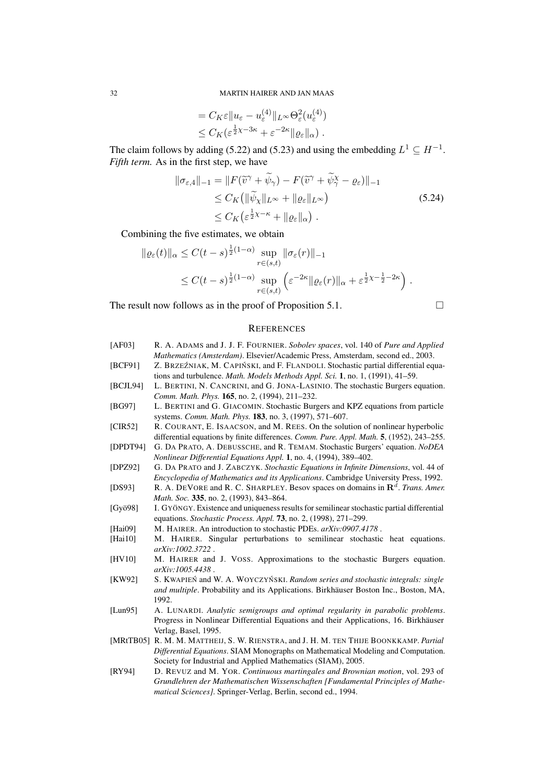$$
= C_K \varepsilon \|u_{\varepsilon} - u_{\varepsilon}^{(4)}\|_{L^{\infty}} \Theta_{\varepsilon}^2(u_{\varepsilon}^{(4)})
$$
  

$$
\leq C_K (\varepsilon^{\frac{1}{2}\chi - 3\kappa} + \varepsilon^{-2\kappa} \| \varrho_{\varepsilon} \|_{\alpha}) .
$$

The claim follows by adding (5.22) and (5.23) and using the embedding  $L^1 \subseteq H^{-1}$ . *Fifth term.* As in the first step, we have

$$
\|\sigma_{\varepsilon,4}\|_{-1} = \|F(\widetilde{v}^{\gamma} + \widetilde{\psi}_{\gamma}) - F(\widetilde{v}^{\gamma} + \widetilde{\psi}_{\gamma}^{\chi} - \varrho_{\varepsilon})\|_{-1}
$$
  
\n
$$
\leq C_K \left( \|\widetilde{\psi}_{\chi}\|_{L^{\infty}} + \|\varrho_{\varepsilon}\|_{L^{\infty}} \right)
$$
  
\n
$$
\leq C_K \left( \varepsilon^{\frac{1}{2}\chi - \kappa} + \|\varrho_{\varepsilon}\|_{\alpha} \right).
$$
\n(5.24)

Combining the five estimates, we obtain

$$
\|\varrho_{\varepsilon}(t)\|_{\alpha} \le C(t-s)^{\frac{1}{2}(1-\alpha)} \sup_{r \in (s,t)} \|\sigma_{\varepsilon}(r)\|_{-1}
$$
  

$$
\le C(t-s)^{\frac{1}{2}(1-\alpha)} \sup_{r \in (s,t)} \left( \varepsilon^{-2\kappa} \|\varrho_{\varepsilon}(r)\|_{\alpha} + \varepsilon^{\frac{1}{2}\chi - \frac{1}{2} - 2\kappa} \right).
$$

The result now follows as in the proof of Proposition 5.1.

$$
\qquad \qquad \Box
$$

### **REFERENCES**

[AF03] R. A. ADAMS and J. J. F. FOURNIER. *Sobolev spaces*, vol. 140 of *Pure and Applied Mathematics (Amsterdam)*. Elsevier/Academic Press, Amsterdam, second ed., 2003. [BCF91] Z. BRZEŹNIAK, M. CAPIŃSKI, and F. FLANDOLI. Stochastic partial differential equations and turbulence. *Math. Models Methods Appl. Sci.* 1, no. 1, (1991), 41–59. [BCJL94] L. BERTINI, N. CANCRINI, and G. JONA-LASINIO. The stochastic Burgers equation. *Comm. Math. Phys.* 165, no. 2, (1994), 211–232. [BG97] L. BERTINI and G. GIACOMIN. Stochastic Burgers and KPZ equations from particle systems. *Comm. Math. Phys.* 183, no. 3, (1997), 571–607. [CIR52] R. COURANT, E. ISAACSON, and M. REES. On the solution of nonlinear hyperbolic differential equations by finite differences. *Comm. Pure. Appl. Math.* 5, (1952), 243–255. [DPDT94] G. DA PRATO, A. DEBUSSCHE, and R. TEMAM. Stochastic Burgers' equation. *NoDEA Nonlinear Differential Equations Appl.* 1, no. 4, (1994), 389–402. [DPZ92] G. DA PRATO and J. ZABCZYK. *Stochastic Equations in Infinite Dimensions*, vol. 44 of *Encyclopedia of Mathematics and its Applications*. Cambridge University Press, 1992. [DS93] R. A. DEVORE and R. C. SHARPLEY. Besov spaces on domains in  $\mathbb{R}^d$ . *Trans. Amer. Math. Soc.* 335, no. 2, (1993), 843–864. [Gyö98] I. GYÖNGY. Existence and uniqueness results for semilinear stochastic partial differential equations. *Stochastic Process. Appl.* 73, no. 2, (1998), 271–299. [Hai09] M. HAIRER. An introduction to stochastic PDEs. *arXiv:0907.4178* . [Hai10] M. HAIRER. Singular perturbations to semilinear stochastic heat equations. *arXiv:1002.3722* . [HV10] M. HAIRER and J. VOSS. Approximations to the stochastic Burgers equation. *arXiv:1005.4438* . [KW92] S. KWAPIEN and W. A. WOYCZYNSKI. *Random series and stochastic integrals: single and multiple*. Probability and its Applications. Birkhäuser Boston Inc., Boston, MA, 1992. [Lun95] A. LUNARDI. *Analytic semigroups and optimal regularity in parabolic problems*. Progress in Nonlinear Differential Equations and their Applications, 16. Birkhäuser Verlag, Basel, 1995. [MRtTB05] R. M. M. MATTHEIJ, S. W. RIENSTRA, and J. H. M. TEN THIJE BOONKKAMP. *Partial Differential Equations*. SIAM Monographs on Mathematical Modeling and Computation. Society for Industrial and Applied Mathematics (SIAM), 2005. [RY94] D. REVUZ and M. YOR. *Continuous martingales and Brownian motion*, vol. 293 of *Grundlehren der Mathematischen Wissenschaften [Fundamental Principles of Mathe-*

*matical Sciences]*. Springer-Verlag, Berlin, second ed., 1994.